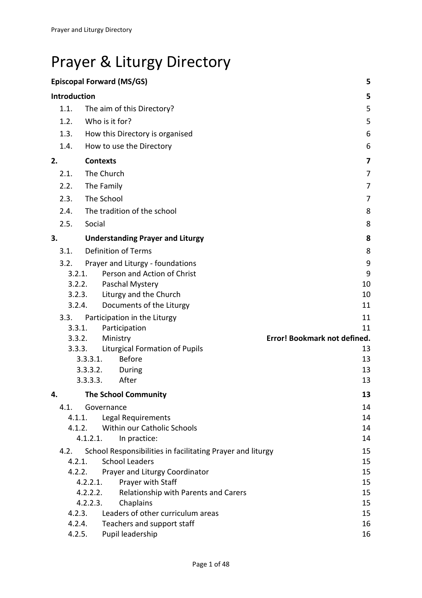# Prayer & Liturgy Directory

| <b>Episcopal Forward (MS/GS)</b><br>5 |                  |                 |                                                            |                              |  |  |  |  |  |  |
|---------------------------------------|------------------|-----------------|------------------------------------------------------------|------------------------------|--|--|--|--|--|--|
| Introduction<br>5                     |                  |                 |                                                            |                              |  |  |  |  |  |  |
|                                       | 1.1.             |                 | The aim of this Directory?                                 | 5                            |  |  |  |  |  |  |
|                                       | 1.2.             |                 | Who is it for?                                             | 5                            |  |  |  |  |  |  |
|                                       | 1.3.             |                 | How this Directory is organised                            | 6                            |  |  |  |  |  |  |
|                                       | 1.4.             |                 | How to use the Directory                                   | 6                            |  |  |  |  |  |  |
| 2.                                    |                  | <b>Contexts</b> |                                                            | 7                            |  |  |  |  |  |  |
|                                       | 2.1.             |                 | The Church                                                 | 7                            |  |  |  |  |  |  |
|                                       | 2.2.             |                 | The Family                                                 | 7                            |  |  |  |  |  |  |
|                                       | 2.3.             |                 | The School                                                 | 7                            |  |  |  |  |  |  |
|                                       | 2.4.             |                 | The tradition of the school                                | 8                            |  |  |  |  |  |  |
|                                       | 2.5.             | Social          |                                                            | 8                            |  |  |  |  |  |  |
|                                       |                  |                 |                                                            |                              |  |  |  |  |  |  |
| 3.                                    |                  |                 | <b>Understanding Prayer and Liturgy</b>                    | 8                            |  |  |  |  |  |  |
|                                       | 3.1.             |                 | <b>Definition of Terms</b>                                 | 8                            |  |  |  |  |  |  |
|                                       | 3.2.             |                 | Prayer and Liturgy - foundations                           | 9                            |  |  |  |  |  |  |
|                                       | 3.2.1.           |                 | Person and Action of Christ                                | 9                            |  |  |  |  |  |  |
| 3.2.2.<br>3.2.3.                      |                  |                 | Paschal Mystery                                            | 10                           |  |  |  |  |  |  |
|                                       |                  |                 | Liturgy and the Church                                     | 10                           |  |  |  |  |  |  |
|                                       | 3.2.4.           |                 | Documents of the Liturgy                                   | 11                           |  |  |  |  |  |  |
| 3.3.<br>3.3.1.<br>3.3.2.              |                  |                 | Participation in the Liturgy                               | 11<br>11                     |  |  |  |  |  |  |
|                                       |                  |                 | Participation<br>Ministry                                  | Error! Bookmark not defined. |  |  |  |  |  |  |
|                                       | 3.3.3.           |                 | <b>Liturgical Formation of Pupils</b>                      | 13                           |  |  |  |  |  |  |
|                                       |                  | 3.3.3.1.        | <b>Before</b>                                              | 13                           |  |  |  |  |  |  |
|                                       |                  | 3.3.3.2.        | During                                                     | 13                           |  |  |  |  |  |  |
|                                       |                  | 3.3.3.3.        | After                                                      | 13                           |  |  |  |  |  |  |
| 4.                                    |                  |                 | <b>The School Community</b>                                | 13                           |  |  |  |  |  |  |
|                                       | 4.1.             |                 | Governance                                                 | 14                           |  |  |  |  |  |  |
|                                       | 4.1.1.           |                 | Legal Requirements                                         | 14                           |  |  |  |  |  |  |
|                                       | 4.1.2.           |                 | Within our Catholic Schools                                | 14                           |  |  |  |  |  |  |
|                                       |                  | 4.1.2.1.        | In practice:                                               | 14                           |  |  |  |  |  |  |
|                                       | 4.2.             |                 | School Responsibilities in facilitating Prayer and liturgy | 15                           |  |  |  |  |  |  |
|                                       | 4.2.1.           |                 | <b>School Leaders</b>                                      | 15                           |  |  |  |  |  |  |
|                                       | 4.2.2.           |                 | Prayer and Liturgy Coordinator                             | 15                           |  |  |  |  |  |  |
|                                       |                  | 4.2.2.1.        | Prayer with Staff                                          | 15                           |  |  |  |  |  |  |
|                                       |                  | 4.2.2.2.        | Relationship with Parents and Carers                       | 15                           |  |  |  |  |  |  |
|                                       |                  | 4.2.2.3.        | Chaplains                                                  | 15                           |  |  |  |  |  |  |
|                                       | 4.2.3.<br>4.2.4. |                 | Leaders of other curriculum areas                          | 15<br>16                     |  |  |  |  |  |  |
|                                       | 4.2.5.           |                 | Teachers and support staff<br>Pupil leadership             | 16                           |  |  |  |  |  |  |
|                                       |                  |                 |                                                            |                              |  |  |  |  |  |  |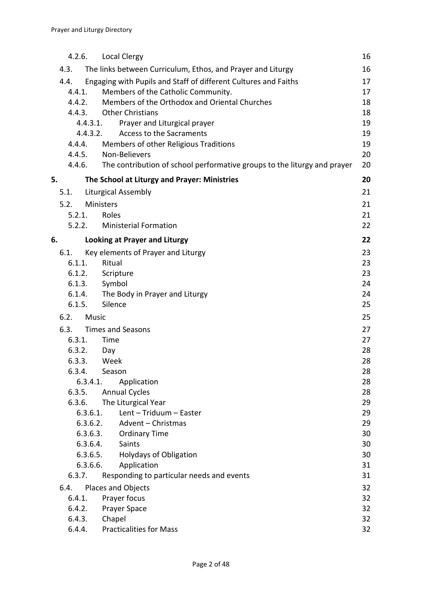|        | 4.2.6.               | <b>Local Clergy</b>                                                             | 16       |  |
|--------|----------------------|---------------------------------------------------------------------------------|----------|--|
|        | 4.3.                 | The links between Curriculum, Ethos, and Prayer and Liturgy                     | 16       |  |
| 4.4.   |                      | Engaging with Pupils and Staff of different Cultures and Faiths                 | 17       |  |
|        | 4.4.1.               | Members of the Catholic Community.                                              | 17       |  |
|        | 4.4.2.               | Members of the Orthodox and Oriental Churches                                   | 18       |  |
|        | 4.4.3.               | <b>Other Christians</b>                                                         | 18       |  |
|        | 4.4.3.1.             | Prayer and Liturgical prayer                                                    | 19<br>19 |  |
|        | 4.4.3.2.             | Access to the Sacraments                                                        |          |  |
| 4.4.4. |                      | Members of other Religious Traditions<br>Non-Believers                          |          |  |
|        | 4.4.5.               | 4.4.6. The contribution of school performative groups to the liturgy and prayer | 20<br>20 |  |
| 5.     |                      | The School at Liturgy and Prayer: Ministries                                    | 20       |  |
|        | 5.1.                 | <b>Liturgical Assembly</b>                                                      | 21       |  |
|        | 5.2.                 | Ministers                                                                       | 21       |  |
|        | 5.2.1.               | Roles                                                                           | 21       |  |
|        | 5.2.2.               | <b>Ministerial Formation</b>                                                    | 22       |  |
| 6.     |                      | <b>Looking at Prayer and Liturgy</b>                                            | 22       |  |
|        | 6.1.                 | Key elements of Prayer and Liturgy                                              | 23       |  |
|        | 6.1.1.               | Ritual                                                                          | 23       |  |
| 6.1.2. |                      | Scripture                                                                       |          |  |
|        | 6.1.3.               | Symbol                                                                          | 24       |  |
|        | 6.1.4.               | The Body in Prayer and Liturgy                                                  | 24       |  |
|        | 6.1.5.               | Silence                                                                         | 25       |  |
|        | 6.2.<br><b>Music</b> |                                                                                 | 25       |  |
|        | 6.3.                 | <b>Times and Seasons</b>                                                        | 27       |  |
|        | 6.3.1.               | Time                                                                            | 27       |  |
|        | 6.3.2.               | Day                                                                             | 28       |  |
|        | 6.3.3.               | Week                                                                            | 28       |  |
|        | 6.3.4.               | Season                                                                          | 28       |  |
|        | 6.3.4.1.             | Application                                                                     | 28       |  |
|        | 6.3.5.               | <b>Annual Cycles</b>                                                            | 28       |  |
|        | 6.3.6.<br>6.3.6.1.   | The Liturgical Year<br>Lent - Triduum - Easter                                  | 29<br>29 |  |
|        | 6.3.6.2.             | Advent - Christmas                                                              | 29       |  |
|        | 6.3.6.3.             | <b>Ordinary Time</b>                                                            | 30       |  |
|        | 6.3.6.4.             | Saints                                                                          | 30       |  |
|        | 6.3.6.5.             | <b>Holydays of Obligation</b>                                                   | 30       |  |
|        | 6.3.6.6.             | Application                                                                     | 31       |  |
|        | 6.3.7.               | Responding to particular needs and events                                       | 31       |  |
|        | 6.4.                 | Places and Objects                                                              | 32       |  |
|        | 6.4.1.               | Prayer focus                                                                    | 32       |  |
|        | 6.4.2.               | Prayer Space                                                                    | 32       |  |
|        | 6.4.3.               | Chapel                                                                          | 32       |  |
|        | 6.4.4.               | <b>Practicalities for Mass</b>                                                  | 32       |  |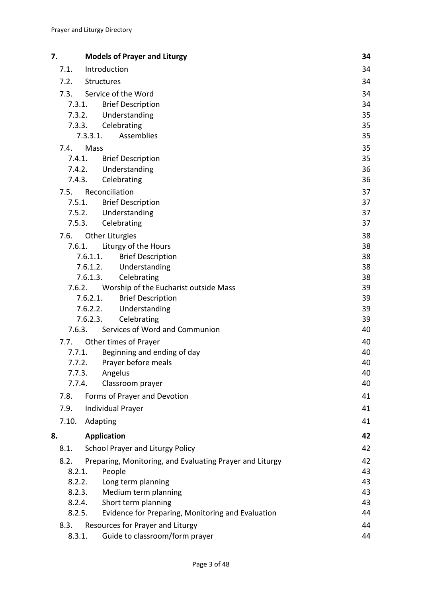| 7.     | <b>Models of Prayer and Liturgy</b>                               | 34       |
|--------|-------------------------------------------------------------------|----------|
| 7.1.   | Introduction                                                      | 34       |
| 7.2.   | Structures                                                        | 34       |
| 7.3.   | Service of the Word                                               | 34       |
| 7.3.1. | <b>Brief Description</b>                                          | 34       |
|        | Understanding<br>7.3.2.                                           | 35       |
| 7.3.3. | Celebrating                                                       | 35       |
|        | Assemblies<br>7.3.3.1.                                            | 35       |
| 7.4.   | Mass                                                              | 35       |
| 7.4.1. | <b>Brief Description</b>                                          | 35       |
|        | Understanding<br>7.4.2.                                           | 36       |
|        | 7.4.3.<br>Celebrating                                             | 36       |
| 7.5.   | Reconciliation                                                    | 37       |
|        | <b>Brief Description</b><br>7.5.1.                                | 37       |
|        | 7.5.2. Understanding                                              | 37       |
|        | 7.5.3.<br>Celebrating                                             | 37       |
| 7.6.   | <b>Other Liturgies</b>                                            | 38       |
| 7.6.1. | Liturgy of the Hours                                              | 38       |
|        | 7.6.1.1.<br><b>Brief Description</b><br>Understanding<br>7.6.1.2. | 38<br>38 |
|        | 7.6.1.3.<br>Celebrating                                           | 38       |
| 7.6.2. | Worship of the Eucharist outside Mass                             | 39       |
|        | 7.6.2.1.<br><b>Brief Description</b>                              | 39       |
|        | 7.6.2.2.<br>Understanding                                         | 39       |
|        | 7.6.2.3.<br>Celebrating                                           | 39       |
| 7.6.3. | Services of Word and Communion                                    | 40       |
| 7.7.   | Other times of Prayer                                             | 40       |
| 7.7.1. | Beginning and ending of day                                       | 40       |
| 7.7.2. | Prayer before meals                                               | 40       |
| 7.7.3. | Angelus                                                           | 40       |
| 7.7.4. | Classroom prayer                                                  | 40       |
| 7.8.   | Forms of Prayer and Devotion                                      | 41       |
| 7.9.   | <b>Individual Prayer</b>                                          | 41       |
| 7.10.  | Adapting                                                          | 41       |
| 8.     | <b>Application</b>                                                | 42       |
| 8.1.   | <b>School Prayer and Liturgy Policy</b>                           | 42       |
| 8.2.   | Preparing, Monitoring, and Evaluating Prayer and Liturgy          | 42       |
| 8.2.1. | People                                                            | 43       |
| 8.2.2. | Long term planning                                                | 43       |
| 8.2.3. | Medium term planning                                              | 43       |
|        | Short term planning<br>8.2.4.                                     | 43       |
| 8.2.5. | Evidence for Preparing, Monitoring and Evaluation                 | 44       |
| 8.3.   | Resources for Prayer and Liturgy                                  | 44       |
| 8.3.1. | Guide to classroom/form prayer                                    | 44       |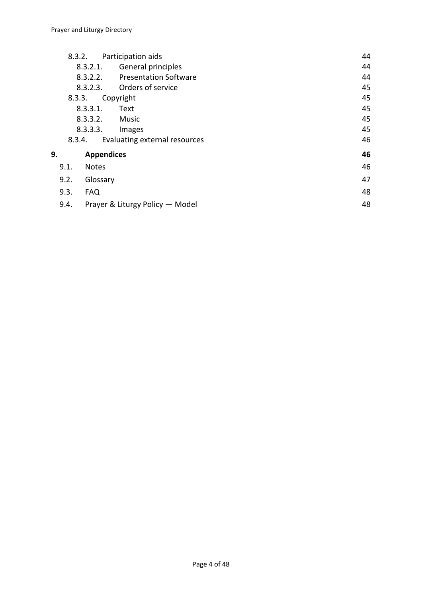|                    | 8.3.2.                                  |                   | Participation aids              | 44 |
|--------------------|-----------------------------------------|-------------------|---------------------------------|----|
| 8.3.2.1.           |                                         |                   | General principles              | 44 |
| 8.3.2.2.           |                                         |                   | <b>Presentation Software</b>    | 44 |
| 8.3.2.3.           |                                         |                   | Orders of service               | 45 |
|                    | 8.3.3.                                  |                   | Copyright                       | 45 |
| 8.3.3.1.<br>Text   |                                         |                   |                                 | 45 |
|                    | 8.3.3.2.                                |                   | Music                           | 45 |
| 8.3.3.3.           |                                         |                   | Images                          | 45 |
|                    | Evaluating external resources<br>8.3.4. |                   |                                 | 46 |
| 9.                 |                                         | <b>Appendices</b> |                                 | 46 |
|                    | 9.1.                                    | <b>Notes</b>      |                                 | 46 |
| 9.2.<br>Glossary   |                                         |                   |                                 | 47 |
| 9.3.<br><b>FAQ</b> |                                         |                   |                                 | 48 |
|                    | 9.4.                                    |                   | Prayer & Liturgy Policy - Model | 48 |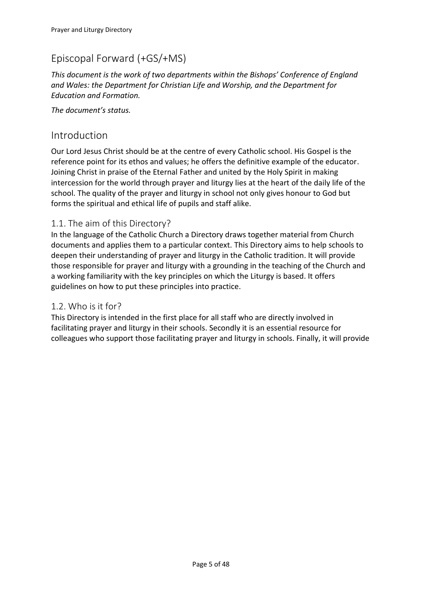## <span id="page-4-0"></span>Episcopal Forward (+GS/+MS)

*This document is the work of two departments within the Bishops' Conference of England and Wales: the Department for Christian Life and Worship, and the Department for Education and Formation.*

*The document's status.*

### <span id="page-4-1"></span>Introduction

Our Lord Jesus Christ should be at the centre of every Catholic school. His Gospel is the reference point for its ethos and values; he offers the definitive example of the educator. Joining Christ in praise of the Eternal Father and united by the Holy Spirit in making intercession for the world through prayer and liturgy lies at the heart of the daily life of the school. The quality of the prayer and liturgy in school not only gives honour to God but forms the spiritual and ethical life of pupils and staff alike.

### <span id="page-4-2"></span>1.1. The aim of this Directory?

In the language of the Catholic Church a Directory draws together material from Church documents and applies them to a particular context. This Directory aims to help schools to deepen their understanding of prayer and liturgy in the Catholic tradition. It will provide those responsible for prayer and liturgy with a grounding in the teaching of the Church and a working familiarity with the key principles on which the Liturgy is based. It offers guidelines on how to put these principles into practice.

### <span id="page-4-3"></span>1.2. Who is it for?

This Directory is intended in the first place for all staff who are directly involved in facilitating prayer and liturgy in their schools. Secondly it is an essential resource for colleagues who support those facilitating prayer and liturgy in schools. Finally, it will provide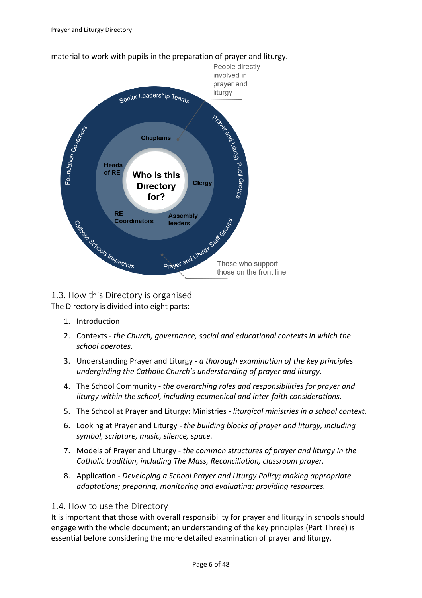

### <span id="page-5-0"></span>1.3. How this Directory is organised The Directory is divided into eight parts:

- 1. Introduction
- 2. Contexts *the Church, governance, social and educational contexts in which the school operates.*
- 3. Understanding Prayer and Liturgy *a thorough examination of the key principles undergirding the Catholic Church's understanding of prayer and liturgy.*
- 4. The School Community *the overarching roles and responsibilities for prayer and liturgy within the school, including ecumenical and inter-faith considerations.*
- 5. The School at Prayer and Liturgy: Ministries *liturgical ministries in a school context.*
- 6. Looking at Prayer and Liturgy *the building blocks of prayer and liturgy, including symbol, scripture, music, silence, space.*
- 7. Models of Prayer and Liturgy *the common structures of prayer and liturgy in the Catholic tradition, including The Mass, Reconciliation, classroom prayer.*
- 8. Application *Developing a School Prayer and Liturgy Policy; making appropriate adaptations; preparing, monitoring and evaluating; providing resources.*

### <span id="page-5-1"></span>1.4. How to use the Directory

It is important that those with overall responsibility for prayer and liturgy in schools should engage with the whole document; an understanding of the key principles (Part Three) is essential before considering the more detailed examination of prayer and liturgy.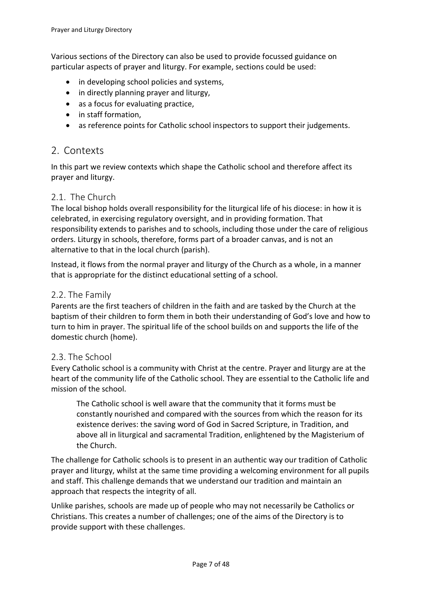Various sections of the Directory can also be used to provide focussed guidance on particular aspects of prayer and liturgy. For example, sections could be used:

- in developing school policies and systems,
- in directly planning prayer and liturgy,
- as a focus for evaluating practice,
- in staff formation,
- as reference points for Catholic school inspectors to support their judgements.

### <span id="page-6-0"></span>2. Contexts

In this part we review contexts which shape the Catholic school and therefore affect its prayer and liturgy.

#### <span id="page-6-1"></span>2.1. The Church

The local bishop holds overall responsibility for the liturgical life of his diocese: in how it is celebrated, in exercising regulatory oversight, and in providing formation. That responsibility extends to parishes and to schools, including those under the care of religious orders. Liturgy in schools, therefore, forms part of a broader canvas, and is not an alternative to that in the local church (parish).

Instead, it flows from the normal prayer and liturgy of the Church as a whole, in a manner that is appropriate for the distinct educational setting of a school.

#### <span id="page-6-2"></span>2.2. The Family

Parents are the first teachers of children in the faith and are tasked by the Church at the baptism of their children to form them in both their understanding of God's love and how to turn to him in prayer. The spiritual life of the school builds on and supports the life of the domestic church (home).

#### <span id="page-6-3"></span>2.3. The School

Every Catholic school is a community with Christ at the centre. Prayer and liturgy are at the heart of the community life of the Catholic school. They are essential to the Catholic life and mission of the school.

The Catholic school is well aware that the community that it forms must be constantly nourished and compared with the sources from which the reason for its existence derives: the saving word of God in Sacred Scripture, in Tradition, and above all in liturgical and sacramental Tradition, enlightened by the Magisterium of the Church.

The challenge for Catholic schools is to present in an authentic way our tradition of Catholic prayer and liturgy, whilst at the same time providing a welcoming environment for all pupils and staff. This challenge demands that we understand our tradition and maintain an approach that respects the integrity of all.

Unlike parishes, schools are made up of people who may not necessarily be Catholics or Christians. This creates a number of challenges; one of the aims of the Directory is to provide support with these challenges.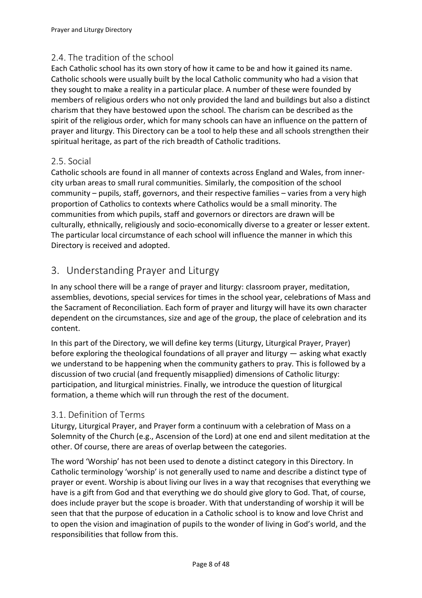### <span id="page-7-0"></span>2.4. The tradition of the school

Each Catholic school has its own story of how it came to be and how it gained its name. Catholic schools were usually built by the local Catholic community who had a vision that they sought to make a reality in a particular place. A number of these were founded by members of religious orders who not only provided the land and buildings but also a distinct charism that they have bestowed upon the school. The charism can be described as the spirit of the religious order, which for many schools can have an influence on the pattern of prayer and liturgy. This Directory can be a tool to help these and all schools strengthen their spiritual heritage, as part of the rich breadth of Catholic traditions.

### <span id="page-7-1"></span>2.5. Social

Catholic schools are found in all manner of contexts across England and Wales, from innercity urban areas to small rural communities. Similarly, the composition of the school community – pupils, staff, governors, and their respective families – varies from a very high proportion of Catholics to contexts where Catholics would be a small minority. The communities from which pupils, staff and governors or directors are drawn will be culturally, ethnically, religiously and socio-economically diverse to a greater or lesser extent. The particular local circumstance of each school will influence the manner in which this Directory is received and adopted.

### <span id="page-7-2"></span>3. Understanding Prayer and Liturgy

In any school there will be a range of prayer and liturgy: classroom prayer, meditation, assemblies, devotions, special services for times in the school year, celebrations of Mass and the Sacrament of Reconciliation. Each form of prayer and liturgy will have its own character dependent on the circumstances, size and age of the group, the place of celebration and its content.

In this part of the Directory, we will define key terms (Liturgy, Liturgical Prayer, Prayer) before exploring the theological foundations of all prayer and liturgy  $-$  asking what exactly we understand to be happening when the community gathers to pray. This is followed by a discussion of two crucial (and frequently misapplied) dimensions of Catholic liturgy: participation, and liturgical ministries. Finally, we introduce the question of liturgical formation, a theme which will run through the rest of the document.

### <span id="page-7-3"></span>3.1. Definition of Terms

Liturgy, Liturgical Prayer, and Prayer form a continuum with a celebration of Mass on a Solemnity of the Church (e.g., Ascension of the Lord) at one end and silent meditation at the other. Of course, there are areas of overlap between the categories.

The word 'Worship' has not been used to denote a distinct category in this Directory. In Catholic terminology 'worship' is not generally used to name and describe a distinct type of prayer or event. Worship is about living our lives in a way that recognises that everything we have is a gift from God and that everything we do should give glory to God. That, of course, does include prayer but the scope is broader. With that understanding of worship it will be seen that that the purpose of education in a Catholic school is to know and love Christ and to open the vision and imagination of pupils to the wonder of living in God's world, and the responsibilities that follow from this.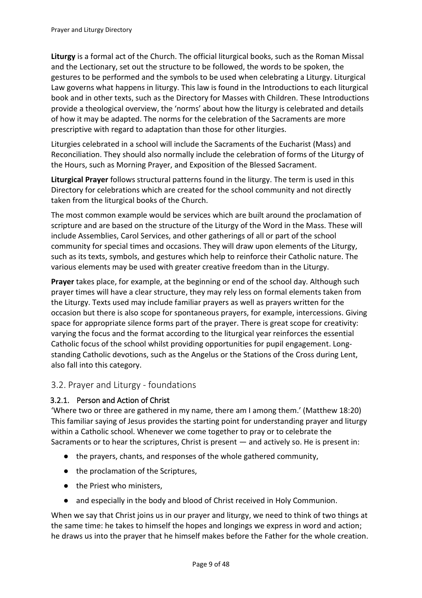**Liturgy** is a formal act of the Church. The official liturgical books, such as the Roman Missal and the Lectionary, set out the structure to be followed, the words to be spoken, the gestures to be performed and the symbols to be used when celebrating a Liturgy. Liturgical Law governs what happens in liturgy. This law is found in the Introductions to each liturgical book and in other texts, such as the Directory for Masses with Children. These Introductions provide a theological overview, the 'norms' about how the liturgy is celebrated and details of how it may be adapted. The norms for the celebration of the Sacraments are more prescriptive with regard to adaptation than those for other liturgies.

Liturgies celebrated in a school will include the Sacraments of the Eucharist (Mass) and Reconciliation. They should also normally include the celebration of forms of the Liturgy of the Hours, such as Morning Prayer, and Exposition of the Blessed Sacrament.

**Liturgical Prayer** follows structural patterns found in the liturgy. The term is used in this Directory for celebrations which are created for the school community and not directly taken from the liturgical books of the Church.

The most common example would be services which are built around the proclamation of scripture and are based on the structure of the Liturgy of the Word in the Mass. These will include Assemblies, Carol Services, and other gatherings of all or part of the school community for special times and occasions. They will draw upon elements of the Liturgy, such as its texts, symbols, and gestures which help to reinforce their Catholic nature. The various elements may be used with greater creative freedom than in the Liturgy.

**Prayer** takes place, for example, at the beginning or end of the school day. Although such prayer times will have a clear structure, they may rely less on formal elements taken from the Liturgy. Texts used may include familiar prayers as well as prayers written for the occasion but there is also scope for spontaneous prayers, for example, intercessions. Giving space for appropriate silence forms part of the prayer. There is great scope for creativity: varying the focus and the format according to the liturgical year reinforces the essential Catholic focus of the school whilst providing opportunities for pupil engagement. Longstanding Catholic devotions, such as the Angelus or the Stations of the Cross during Lent, also fall into this category.

### <span id="page-8-0"></span>3.2. Prayer and Liturgy - foundations

### <span id="page-8-1"></span>3.2.1. Person and Action of Christ

'Where two or three are gathered in my name, there am I among them.' (Matthew 18:20) This familiar saying of Jesus provides the starting point for understanding prayer and liturgy within a Catholic school. Whenever we come together to pray or to celebrate the Sacraments or to hear the scriptures, Christ is present — and actively so. He is present in:

- the prayers, chants, and responses of the whole gathered community,
- the proclamation of the Scriptures,
- the Priest who ministers,
- and especially in the body and blood of Christ received in Holy Communion.

When we say that Christ joins us in our prayer and liturgy, we need to think of two things at the same time: he takes to himself the hopes and longings we express in word and action; he draws us into the prayer that he himself makes before the Father for the whole creation.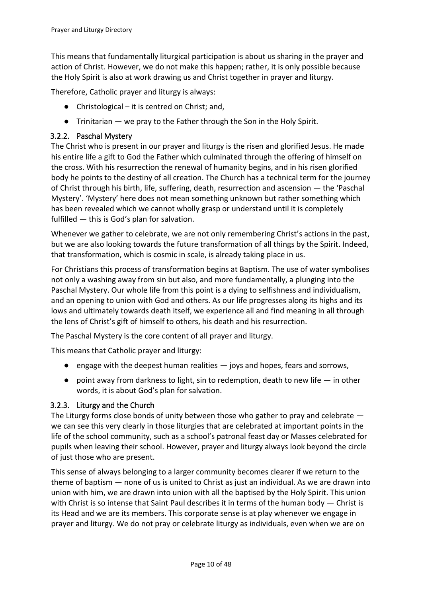This means that fundamentally liturgical participation is about us sharing in the prayer and action of Christ. However, we do not make this happen; rather, it is only possible because the Holy Spirit is also at work drawing us and Christ together in prayer and liturgy.

Therefore, Catholic prayer and liturgy is always:

- $\bullet$  Christological it is centred on Christ; and,
- Trinitarian we pray to the Father through the Son in the Holy Spirit.

#### <span id="page-9-0"></span>3.2.2. Paschal Mystery

The Christ who is present in our prayer and liturgy is the risen and glorified Jesus. He made his entire life a gift to God the Father which culminated through the offering of himself on the cross. With his resurrection the renewal of humanity begins, and in his risen glorified body he points to the destiny of all creation. The Church has a technical term for the journey of Christ through his birth, life, suffering, death, resurrection and ascension — the 'Paschal Mystery'. 'Mystery' here does not mean something unknown but rather something which has been revealed which we cannot wholly grasp or understand until it is completely fulfilled — this is God's plan for salvation.

Whenever we gather to celebrate, we are not only remembering Christ's actions in the past, but we are also looking towards the future transformation of all things by the Spirit. Indeed, that transformation, which is cosmic in scale, is already taking place in us.

For Christians this process of transformation begins at Baptism. The use of water symbolises not only a washing away from sin but also, and more fundamentally, a plunging into the Paschal Mystery. Our whole life from this point is a dying to selfishness and individualism, and an opening to union with God and others. As our life progresses along its highs and its lows and ultimately towards death itself, we experience all and find meaning in all through the lens of Christ's gift of himself to others, his death and his resurrection.

The Paschal Mystery is the core content of all prayer and liturgy.

This means that Catholic prayer and liturgy:

- $\bullet$  engage with the deepest human realities  $-$  joys and hopes, fears and sorrows,
- $\bullet$  point away from darkness to light, sin to redemption, death to new life  $-$  in other words, it is about God's plan for salvation.

#### <span id="page-9-1"></span>3.2.3. Liturgy and the Church

The Liturgy forms close bonds of unity between those who gather to pray and celebrate we can see this very clearly in those liturgies that are celebrated at important points in the life of the school community, such as a school's patronal feast day or Masses celebrated for pupils when leaving their school. However, prayer and liturgy always look beyond the circle of just those who are present.

This sense of always belonging to a larger community becomes clearer if we return to the theme of baptism — none of us is united to Christ as just an individual. As we are drawn into union with him, we are drawn into union with all the baptised by the Holy Spirit. This union with Christ is so intense that Saint Paul describes it in terms of the human body — Christ is its Head and we are its members. This corporate sense is at play whenever we engage in prayer and liturgy. We do not pray or celebrate liturgy as individuals, even when we are on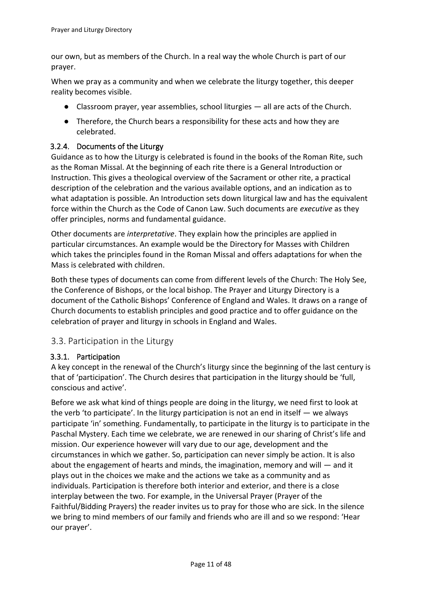our own, but as members of the Church. In a real way the whole Church is part of our prayer.

When we pray as a community and when we celebrate the liturgy together, this deeper reality becomes visible.

- Classroom prayer, year assemblies, school liturgies all are acts of the Church.
- Therefore, the Church bears a responsibility for these acts and how they are celebrated.

#### <span id="page-10-0"></span>3.2.4. Documents of the Liturgy

Guidance as to how the Liturgy is celebrated is found in the books of the Roman Rite, such as the Roman Missal. At the beginning of each rite there is a General Introduction or Instruction. This gives a theological overview of the Sacrament or other rite, a practical description of the celebration and the various available options, and an indication as to what adaptation is possible. An Introduction sets down liturgical law and has the equivalent force within the Church as the Code of Canon Law. Such documents are *executive* as they offer principles, norms and fundamental guidance.

Other documents are *interpretative*. They explain how the principles are applied in particular circumstances. An example would be the Directory for Masses with Children which takes the principles found in the Roman Missal and offers adaptations for when the Mass is celebrated with children.

Both these types of documents can come from different levels of the Church: The Holy See, the Conference of Bishops, or the local bishop. The Prayer and Liturgy Directory is a document of the Catholic Bishops' Conference of England and Wales. It draws on a range of Church documents to establish principles and good practice and to offer guidance on the celebration of prayer and liturgy in schools in England and Wales.

### <span id="page-10-1"></span>3.3. Participation in the Liturgy

#### <span id="page-10-2"></span>3.3.1. Participation

A key concept in the renewal of the Church's liturgy since the beginning of the last century is that of 'participation'. The Church desires that participation in the liturgy should be 'full, conscious and active'.

Before we ask what kind of things people are doing in the liturgy, we need first to look at the verb 'to participate'. In the liturgy participation is not an end in itself — we always participate 'in' something. Fundamentally, to participate in the liturgy is to participate in the Paschal Mystery. Each time we celebrate, we are renewed in our sharing of Christ's life and mission. Our experience however will vary due to our age, development and the circumstances in which we gather. So, participation can never simply be action. It is also about the engagement of hearts and minds, the imagination, memory and will — and it plays out in the choices we make and the actions we take as a community and as individuals. Participation is therefore both interior and exterior, and there is a close interplay between the two. For example, in the Universal Prayer (Prayer of the Faithful/Bidding Prayers) the reader invites us to pray for those who are sick. In the silence we bring to mind members of our family and friends who are ill and so we respond: 'Hear our prayer'.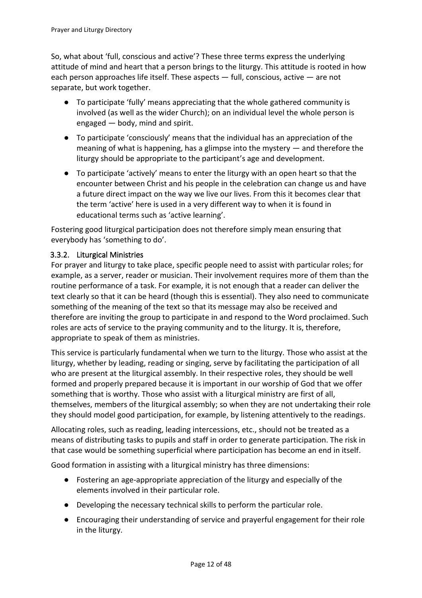So, what about 'full, conscious and active'? These three terms express the underlying attitude of mind and heart that a person brings to the liturgy. This attitude is rooted in how each person approaches life itself. These aspects — full, conscious, active — are not separate, but work together.

- To participate 'fully' means appreciating that the whole gathered community is involved (as well as the wider Church); on an individual level the whole person is engaged — body, mind and spirit.
- To participate 'consciously' means that the individual has an appreciation of the meaning of what is happening, has a glimpse into the mystery — and therefore the liturgy should be appropriate to the participant's age and development.
- To participate 'actively' means to enter the liturgy with an open heart so that the encounter between Christ and his people in the celebration can change us and have a future direct impact on the way we live our lives. From this it becomes clear that the term 'active' here is used in a very different way to when it is found in educational terms such as 'active learning'.

Fostering good liturgical participation does not therefore simply mean ensuring that everybody has 'something to do'.

### 3.3.2. Liturgical Ministries

For prayer and liturgy to take place, specific people need to assist with particular roles; for example, as a server, reader or musician. Their involvement requires more of them than the routine performance of a task. For example, it is not enough that a reader can deliver the text clearly so that it can be heard (though this is essential). They also need to communicate something of the meaning of the text so that its message may also be received and therefore are inviting the group to participate in and respond to the Word proclaimed. Such roles are acts of service to the praying community and to the liturgy. It is, therefore, appropriate to speak of them as ministries.

This service is particularly fundamental when we turn to the liturgy. Those who assist at the liturgy, whether by leading, reading or singing, serve by facilitating the participation of all who are present at the liturgical assembly. In their respective roles, they should be well formed and properly prepared because it is important in our worship of God that we offer something that is worthy. Those who assist with a liturgical ministry are first of all, themselves, members of the liturgical assembly; so when they are not undertaking their role they should model good participation, for example, by listening attentively to the readings.

Allocating roles, such as reading, leading intercessions, etc., should not be treated as a means of distributing tasks to pupils and staff in order to generate participation. The risk in that case would be something superficial where participation has become an end in itself.

Good formation in assisting with a liturgical ministry has three dimensions:

- Fostering an age-appropriate appreciation of the liturgy and especially of the elements involved in their particular role.
- Developing the necessary technical skills to perform the particular role.
- Encouraging their understanding of service and prayerful engagement for their role in the liturgy.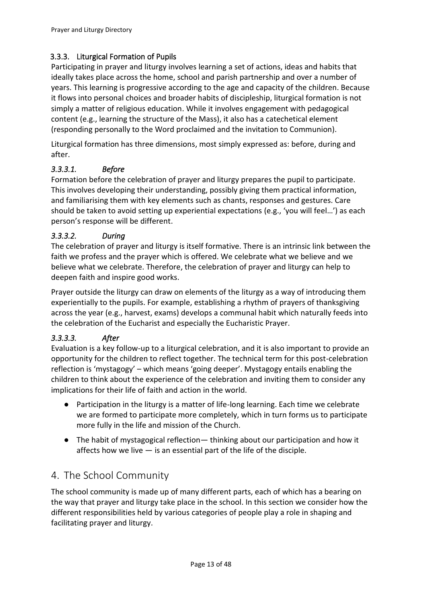### <span id="page-12-0"></span>3.3.3. Liturgical Formation of Pupils

Participating in prayer and liturgy involves learning a set of actions, ideas and habits that ideally takes place across the home, school and parish partnership and over a number of years. This learning is progressive according to the age and capacity of the children. Because it flows into personal choices and broader habits of discipleship, liturgical formation is not simply a matter of religious education. While it involves engagement with pedagogical content (e.g., learning the structure of the Mass), it also has a catechetical element (responding personally to the Word proclaimed and the invitation to Communion).

Liturgical formation has three dimensions, most simply expressed as: before, during and after.

### <span id="page-12-1"></span>*3.3.3.1. Before*

Formation before the celebration of prayer and liturgy prepares the pupil to participate. This involves developing their understanding, possibly giving them practical information, and familiarising them with key elements such as chants, responses and gestures. Care should be taken to avoid setting up experiential expectations (e.g., 'you will feel…') as each person's response will be different.

#### <span id="page-12-2"></span>*3.3.3.2. During*

The celebration of prayer and liturgy is itself formative. There is an intrinsic link between the faith we profess and the prayer which is offered. We celebrate what we believe and we believe what we celebrate. Therefore, the celebration of prayer and liturgy can help to deepen faith and inspire good works.

Prayer outside the liturgy can draw on elements of the liturgy as a way of introducing them experientially to the pupils. For example, establishing a rhythm of prayers of thanksgiving across the year (e.g., harvest, exams) develops a communal habit which naturally feeds into the celebration of the Eucharist and especially the Eucharistic Prayer.

### <span id="page-12-3"></span>*3.3.3.3. After*

Evaluation is a key follow-up to a liturgical celebration, and it is also important to provide an opportunity for the children to reflect together. The technical term for this post-celebration reflection is 'mystagogy' – which means 'going deeper'. Mystagogy entails enabling the children to think about the experience of the celebration and inviting them to consider any implications for their life of faith and action in the world.

- Participation in the liturgy is a matter of life-long learning. Each time we celebrate we are formed to participate more completely, which in turn forms us to participate more fully in the life and mission of the Church.
- The habit of mystagogical reflection— thinking about our participation and how it affects how we live  $-$  is an essential part of the life of the disciple.

### <span id="page-12-4"></span>4. The School Community

The school community is made up of many different parts, each of which has a bearing on the way that prayer and liturgy take place in the school. In this section we consider how the different responsibilities held by various categories of people play a role in shaping and facilitating prayer and liturgy.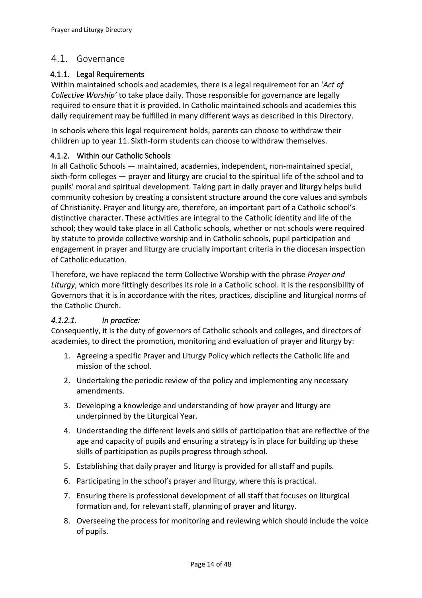### <span id="page-13-0"></span>4.1. Governance

#### <span id="page-13-1"></span>4.1.1. Legal Requirements

Within maintained schools and academies, there is a legal requirement for an '*Act of Collective Worship'* to take place daily. Those responsible for governance are legally required to ensure that it is provided. In Catholic maintained schools and academies this daily requirement may be fulfilled in many different ways as described in this Directory.

In schools where this legal requirement holds, parents can choose to withdraw their children up to year 11. Sixth-form students can choose to withdraw themselves.

#### <span id="page-13-2"></span>4.1.2. Within our Catholic Schools

In all Catholic Schools — maintained, academies, independent, non-maintained special, sixth-form colleges — prayer and liturgy are crucial to the spiritual life of the school and to pupils' moral and spiritual development. Taking part in daily prayer and liturgy helps build community cohesion by creating a consistent structure around the core values and symbols of Christianity. Prayer and liturgy are, therefore, an important part of a Catholic school's distinctive character. These activities are integral to the Catholic identity and life of the school; they would take place in all Catholic schools, whether or not schools were required by statute to provide collective worship and in Catholic schools, pupil participation and engagement in prayer and liturgy are crucially important criteria in the diocesan inspection of Catholic education.

Therefore, we have replaced the term Collective Worship with the phrase *Prayer and Liturgy*, which more fittingly describes its role in a Catholic school. It is the responsibility of Governors that it is in accordance with the rites, practices, discipline and liturgical norms of the Catholic Church.

#### <span id="page-13-3"></span>*4.1.2.1. In practice:*

Consequently, it is the duty of governors of Catholic schools and colleges, and directors of academies, to direct the promotion, monitoring and evaluation of prayer and liturgy by:

- 1. Agreeing a specific Prayer and Liturgy Policy which reflects the Catholic life and mission of the school.
- 2. Undertaking the periodic review of the policy and implementing any necessary amendments.
- 3. Developing a knowledge and understanding of how prayer and liturgy are underpinned by the Liturgical Year.
- 4. Understanding the different levels and skills of participation that are reflective of the age and capacity of pupils and ensuring a strategy is in place for building up these skills of participation as pupils progress through school.
- 5. Establishing that daily prayer and liturgy is provided for all staff and pupils.
- 6. Participating in the school's prayer and liturgy, where this is practical.
- 7. Ensuring there is professional development of all staff that focuses on liturgical formation and, for relevant staff, planning of prayer and liturgy.
- 8. Overseeing the process for monitoring and reviewing which should include the voice of pupils.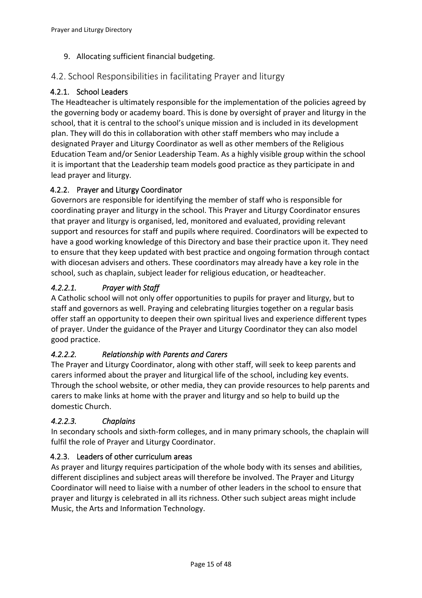9. Allocating sufficient financial budgeting.

### <span id="page-14-0"></span>4.2. School Responsibilities in facilitating Prayer and liturgy

### <span id="page-14-1"></span>4.2.1. School Leaders

The Headteacher is ultimately responsible for the implementation of the policies agreed by the governing body or academy board. This is done by oversight of prayer and liturgy in the school, that it is central to the school's unique mission and is included in its development plan. They will do this in collaboration with other staff members who may include a designated Prayer and Liturgy Coordinator as well as other members of the Religious Education Team and/or Senior Leadership Team. As a highly visible group within the school it is important that the Leadership team models good practice as they participate in and lead prayer and liturgy.

### <span id="page-14-2"></span>4.2.2. Prayer and Liturgy Coordinator

Governors are responsible for identifying the member of staff who is responsible for coordinating prayer and liturgy in the school. This Prayer and Liturgy Coordinator ensures that prayer and liturgy is organised, led, monitored and evaluated, providing relevant support and resources for staff and pupils where required. Coordinators will be expected to have a good working knowledge of this Directory and base their practice upon it. They need to ensure that they keep updated with best practice and ongoing formation through contact with diocesan advisers and others. These coordinators may already have a key role in the school, such as chaplain, subject leader for religious education, or headteacher.

### <span id="page-14-3"></span>*4.2.2.1. Prayer with Staff*

A Catholic school will not only offer opportunities to pupils for prayer and liturgy, but to staff and governors as well. Praying and celebrating liturgies together on a regular basis offer staff an opportunity to deepen their own spiritual lives and experience different types of prayer. Under the guidance of the Prayer and Liturgy Coordinator they can also model good practice.

### <span id="page-14-4"></span>*4.2.2.2. Relationship with Parents and Carers*

The Prayer and Liturgy Coordinator, along with other staff, will seek to keep parents and carers informed about the prayer and liturgical life of the school, including key events. Through the school website, or other media, they can provide resources to help parents and carers to make links at home with the prayer and liturgy and so help to build up the domestic Church.

### <span id="page-14-5"></span>*4.2.2.3. Chaplains*

In secondary schools and sixth-form colleges, and in many primary schools, the chaplain will fulfil the role of Prayer and Liturgy Coordinator.

### <span id="page-14-6"></span>4.2.3. Leaders of other curriculum areas

As prayer and liturgy requires participation of the whole body with its senses and abilities, different disciplines and subject areas will therefore be involved. The Prayer and Liturgy Coordinator will need to liaise with a number of other leaders in the school to ensure that prayer and liturgy is celebrated in all its richness. Other such subject areas might include Music, the Arts and Information Technology.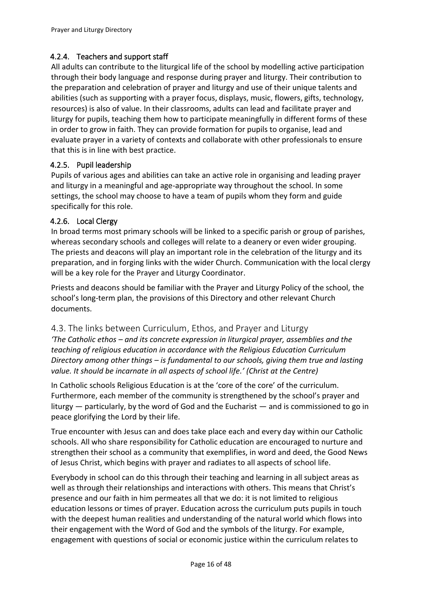#### <span id="page-15-0"></span>4.2.4. Teachers and support staff

All adults can contribute to the liturgical life of the school by modelling active participation through their body language and response during prayer and liturgy. Their contribution to the preparation and celebration of prayer and liturgy and use of their unique talents and abilities (such as supporting with a prayer focus, displays, music, flowers, gifts, technology, resources) is also of value. In their classrooms, adults can lead and facilitate prayer and liturgy for pupils, teaching them how to participate meaningfully in different forms of these in order to grow in faith. They can provide formation for pupils to organise, lead and evaluate prayer in a variety of contexts and collaborate with other professionals to ensure that this is in line with best practice.

#### <span id="page-15-1"></span>4.2.5. Pupil leadership

Pupils of various ages and abilities can take an active role in organising and leading prayer and liturgy in a meaningful and age-appropriate way throughout the school. In some settings, the school may choose to have a team of pupils whom they form and guide specifically for this role.

#### <span id="page-15-2"></span>4.2.6. Local Clergy

In broad terms most primary schools will be linked to a specific parish or group of parishes, whereas secondary schools and colleges will relate to a deanery or even wider grouping. The priests and deacons will play an important role in the celebration of the liturgy and its preparation, and in forging links with the wider Church. Communication with the local clergy will be a key role for the Prayer and Liturgy Coordinator.

Priests and deacons should be familiar with the Prayer and Liturgy Policy of the school, the school's long-term plan, the provisions of this Directory and other relevant Church documents.

#### <span id="page-15-3"></span>4.3. The links between Curriculum, Ethos, and Prayer and Liturgy

*'The Catholic ethos – and its concrete expression in liturgical prayer, assemblies and the teaching of religious education in accordance with the Religious Education Curriculum Directory among other things – is fundamental to our schools, giving them true and lasting value. It should be incarnate in all aspects of school life.' (Christ at the Centre)*

In Catholic schools Religious Education is at the 'core of the core' of the curriculum. Furthermore, each member of the community is strengthened by the school's prayer and liturgy — particularly, by the word of God and the Eucharist — and is commissioned to go in peace glorifying the Lord by their life.

True encounter with Jesus can and does take place each and every day within our Catholic schools. All who share responsibility for Catholic education are encouraged to nurture and strengthen their school as a community that exemplifies, in word and deed, the Good News of Jesus Christ, which begins with prayer and radiates to all aspects of school life.

Everybody in school can do this through their teaching and learning in all subject areas as well as through their relationships and interactions with others. This means that Christ's presence and our faith in him permeates all that we do: it is not limited to religious education lessons or times of prayer. Education across the curriculum puts pupils in touch with the deepest human realities and understanding of the natural world which flows into their engagement with the Word of God and the symbols of the liturgy. For example, engagement with questions of social or economic justice within the curriculum relates to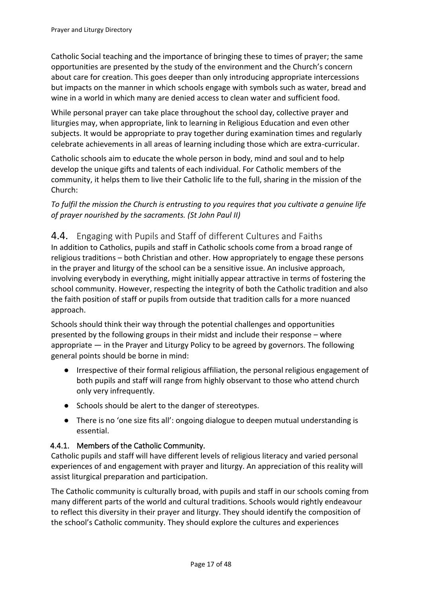Catholic Social teaching and the importance of bringing these to times of prayer; the same opportunities are presented by the study of the environment and the Church's concern about care for creation. This goes deeper than only introducing appropriate intercessions but impacts on the manner in which schools engage with symbols such as water, bread and wine in a world in which many are denied access to clean water and sufficient food.

While personal prayer can take place throughout the school day, collective prayer and liturgies may, when appropriate, link to learning in Religious Education and even other subjects. It would be appropriate to pray together during examination times and regularly celebrate achievements in all areas of learning including those which are extra-curricular.

Catholic schools aim to educate the whole person in body, mind and soul and to help develop the unique gifts and talents of each individual. For Catholic members of the community, it helps them to live their Catholic life to the full, sharing in the mission of the Church:

*To fulfil the mission the Church is entrusting to you requires that you cultivate a genuine life of prayer nourished by the sacraments. (St John Paul II)*

### <span id="page-16-0"></span>4.4. Engaging with Pupils and Staff of different Cultures and Faiths

In addition to Catholics, pupils and staff in Catholic schools come from a broad range of religious traditions – both Christian and other. How appropriately to engage these persons in the prayer and liturgy of the school can be a sensitive issue. An inclusive approach, involving everybody in everything, might initially appear attractive in terms of fostering the school community. However, respecting the integrity of both the Catholic tradition and also the faith position of staff or pupils from outside that tradition calls for a more nuanced approach.

Schools should think their way through the potential challenges and opportunities presented by the following groups in their midst and include their response – where appropriate — in the Prayer and Liturgy Policy to be agreed by governors. The following general points should be borne in mind:

- Irrespective of their formal religious affiliation, the personal religious engagement of both pupils and staff will range from highly observant to those who attend church only very infrequently.
- Schools should be alert to the danger of stereotypes.
- There is no 'one size fits all': ongoing dialogue to deepen mutual understanding is essential.

#### <span id="page-16-1"></span>4.4.1. Members of the Catholic Community.

Catholic pupils and staff will have different levels of religious literacy and varied personal experiences of and engagement with prayer and liturgy. An appreciation of this reality will assist liturgical preparation and participation.

The Catholic community is culturally broad, with pupils and staff in our schools coming from many different parts of the world and cultural traditions. Schools would rightly endeavour to reflect this diversity in their prayer and liturgy. They should identify the composition of the school's Catholic community. They should explore the cultures and experiences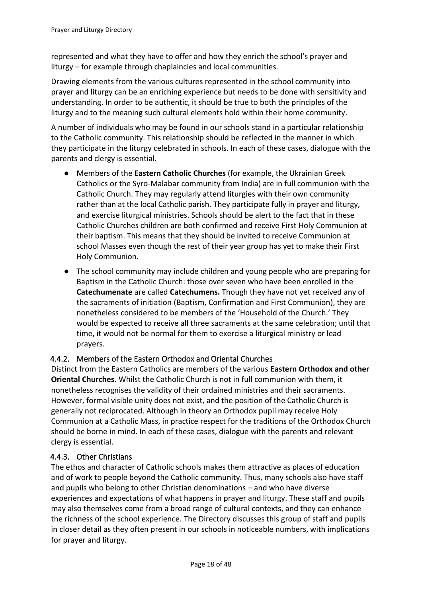represented and what they have to offer and how they enrich the school's prayer and liturgy – for example through chaplaincies and local communities.

Drawing elements from the various cultures represented in the school community into prayer and liturgy can be an enriching experience but needs to be done with sensitivity and understanding. In order to be authentic, it should be true to both the principles of the liturgy and to the meaning such cultural elements hold within their home community.

A number of individuals who may be found in our schools stand in a particular relationship to the Catholic community. This relationship should be reflected in the manner in which they participate in the liturgy celebrated in schools. In each of these cases, dialogue with the parents and clergy is essential.

- Members of the **Eastern Catholic Churches** (for example, the Ukrainian Greek Catholics or the Syro-Malabar community from India) are in full communion with the Catholic Church. They may regularly attend liturgies with their own community rather than at the local Catholic parish. They participate fully in prayer and liturgy, and exercise liturgical ministries. Schools should be alert to the fact that in these Catholic Churches children are both confirmed and receive First Holy Communion at their baptism. This means that they should be invited to receive Communion at school Masses even though the rest of their year group has yet to make their First Holy Communion.
- The school community may include children and young people who are preparing for Baptism in the Catholic Church: those over seven who have been enrolled in the **Catechumenate** are called **Catechumens.** Though they have not yet received any of the sacraments of initiation (Baptism, Confirmation and First Communion), they are nonetheless considered to be members of the 'Household of the Church.' They would be expected to receive all three sacraments at the same celebration; until that time, it would not be normal for them to exercise a liturgical ministry or lead prayers.

#### <span id="page-17-0"></span>4.4.2. Members of the Eastern Orthodox and Oriental Churches

Distinct from the Eastern Catholics are members of the various **Eastern Orthodox and other Oriental Churches**. Whilst the Catholic Church is not in full communion with them, it nonetheless recognises the validity of their ordained ministries and their sacraments. However, formal visible unity does not exist, and the position of the Catholic Church is generally not reciprocated. Although in theory an Orthodox pupil may receive Holy Communion at a Catholic Mass, in practice respect for the traditions of the Orthodox Church should be borne in mind. In each of these cases, dialogue with the parents and relevant clergy is essential.

#### <span id="page-17-1"></span>4.4.3. Other Christians

The ethos and character of Catholic schools makes them attractive as places of education and of work to people beyond the Catholic community. Thus, many schools also have staff and pupils who belong to other Christian denominations – and who have diverse experiences and expectations of what happens in prayer and liturgy. These staff and pupils may also themselves come from a broad range of cultural contexts, and they can enhance the richness of the school experience. The Directory discusses this group of staff and pupils in closer detail as they often present in our schools in noticeable numbers, with implications for prayer and liturgy.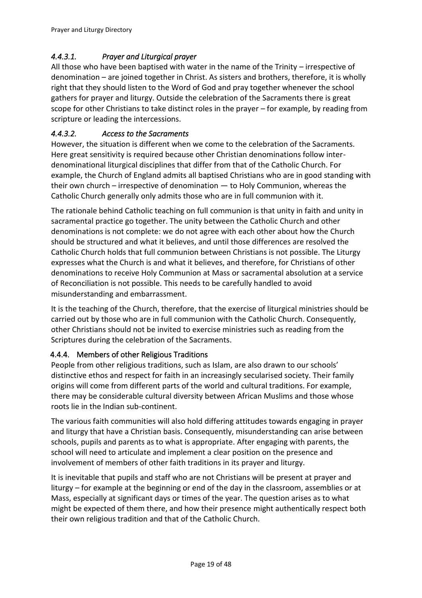### <span id="page-18-0"></span>*4.4.3.1. Prayer and Liturgical prayer*

All those who have been baptised with water in the name of the Trinity – irrespective of denomination – are joined together in Christ. As sisters and brothers, therefore, it is wholly right that they should listen to the Word of God and pray together whenever the school gathers for prayer and liturgy. Outside the celebration of the Sacraments there is great scope for other Christians to take distinct roles in the prayer – for example, by reading from scripture or leading the intercessions.

### <span id="page-18-1"></span>*4.4.3.2. Access to the Sacraments*

However, the situation is different when we come to the celebration of the Sacraments. Here great sensitivity is required because other Christian denominations follow interdenominational liturgical disciplines that differ from that of the Catholic Church. For example, the Church of England admits all baptised Christians who are in good standing with their own church – irrespective of denomination — to Holy Communion, whereas the Catholic Church generally only admits those who are in full communion with it.

The rationale behind Catholic teaching on full communion is that unity in faith and unity in sacramental practice go together. The unity between the Catholic Church and other denominations is not complete: we do not agree with each other about how the Church should be structured and what it believes, and until those differences are resolved the Catholic Church holds that full communion between Christians is not possible. The Liturgy expresses what the Church is and what it believes, and therefore, for Christians of other denominations to receive Holy Communion at Mass or sacramental absolution at a service of Reconciliation is not possible. This needs to be carefully handled to avoid misunderstanding and embarrassment.

It is the teaching of the Church, therefore, that the exercise of liturgical ministries should be carried out by those who are in full communion with the Catholic Church. Consequently, other Christians should not be invited to exercise ministries such as reading from the Scriptures during the celebration of the Sacraments.

### <span id="page-18-2"></span>4.4.4. Members of other Religious Traditions

People from other religious traditions, such as Islam, are also drawn to our schools' distinctive ethos and respect for faith in an increasingly secularised society. Their family origins will come from different parts of the world and cultural traditions. For example, there may be considerable cultural diversity between African Muslims and those whose roots lie in the Indian sub-continent.

The various faith communities will also hold differing attitudes towards engaging in prayer and liturgy that have a Christian basis. Consequently, misunderstanding can arise between schools, pupils and parents as to what is appropriate. After engaging with parents, the school will need to articulate and implement a clear position on the presence and involvement of members of other faith traditions in its prayer and liturgy.

It is inevitable that pupils and staff who are not Christians will be present at prayer and liturgy – for example at the beginning or end of the day in the classroom, assemblies or at Mass, especially at significant days or times of the year. The question arises as to what might be expected of them there, and how their presence might authentically respect both their own religious tradition and that of the Catholic Church.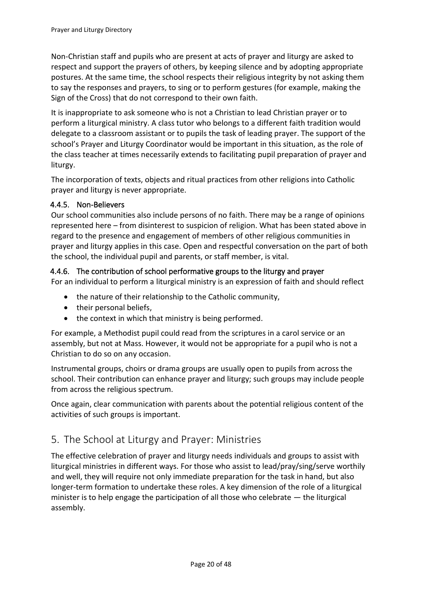Non-Christian staff and pupils who are present at acts of prayer and liturgy are asked to respect and support the prayers of others, by keeping silence and by adopting appropriate postures. At the same time, the school respects their religious integrity by not asking them to say the responses and prayers, to sing or to perform gestures (for example, making the Sign of the Cross) that do not correspond to their own faith.

It is inappropriate to ask someone who is not a Christian to lead Christian prayer or to perform a liturgical ministry. A class tutor who belongs to a different faith tradition would delegate to a classroom assistant or to pupils the task of leading prayer. The support of the school's Prayer and Liturgy Coordinator would be important in this situation, as the role of the class teacher at times necessarily extends to facilitating pupil preparation of prayer and liturgy.

The incorporation of texts, objects and ritual practices from other religions into Catholic prayer and liturgy is never appropriate.

#### <span id="page-19-0"></span>4.4.5. Non-Believers

Our school communities also include persons of no faith. There may be a range of opinions represented here – from disinterest to suspicion of religion. What has been stated above in regard to the presence and engagement of members of other religious communities in prayer and liturgy applies in this case. Open and respectful conversation on the part of both the school, the individual pupil and parents, or staff member, is vital.

#### <span id="page-19-1"></span>4.4.6. The contribution of school performative groups to the liturgy and prayer

For an individual to perform a liturgical ministry is an expression of faith and should reflect

- the nature of their relationship to the Catholic community,
- their personal beliefs,
- the context in which that ministry is being performed.

For example, a Methodist pupil could read from the scriptures in a carol service or an assembly, but not at Mass. However, it would not be appropriate for a pupil who is not a Christian to do so on any occasion.

Instrumental groups, choirs or drama groups are usually open to pupils from across the school. Their contribution can enhance prayer and liturgy; such groups may include people from across the religious spectrum.

Once again, clear communication with parents about the potential religious content of the activities of such groups is important.

### <span id="page-19-2"></span>5. The School at Liturgy and Prayer: Ministries

The effective celebration of prayer and liturgy needs individuals and groups to assist with liturgical ministries in different ways. For those who assist to lead/pray/sing/serve worthily and well, they will require not only immediate preparation for the task in hand, but also longer-term formation to undertake these roles. A key dimension of the role of a liturgical minister is to help engage the participation of all those who celebrate — the liturgical assembly.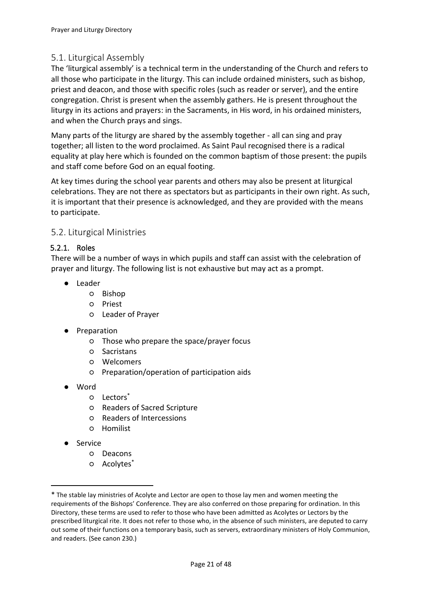### <span id="page-20-0"></span>5.1. Liturgical Assembly

The 'liturgical assembly' is a technical term in the understanding of the Church and refers to all those who participate in the liturgy. This can include ordained ministers, such as bishop, priest and deacon, and those with specific roles (such as reader or server), and the entire congregation. Christ is present when the assembly gathers. He is present throughout the liturgy in its actions and prayers: in the Sacraments, in His word, in his ordained ministers, and when the Church prays and sings.

Many parts of the liturgy are shared by the assembly together - all can sing and pray together; all listen to the word proclaimed. As Saint Paul recognised there is a radical equality at play here which is founded on the common baptism of those present: the pupils and staff come before God on an equal footing.

At key times during the school year parents and others may also be present at liturgical celebrations. They are not there as spectators but as participants in their own right. As such, it is important that their presence is acknowledged, and they are provided with the means to participate.

### <span id="page-20-1"></span>5.2. Liturgical Ministries

#### <span id="page-20-2"></span>5.2.1. Roles

There will be a number of ways in which pupils and staff can assist with the celebration of prayer and liturgy. The following list is not exhaustive but may act as a prompt.

- Leader
	- Bishop
	- Priest
	- Leader of Prayer
- Preparation
	- Those who prepare the space/prayer focus
	- Sacristans
	- Welcomers
	- Preparation/operation of participation aids
- Word
	- Lectors\*
	- Readers of Sacred Scripture
	- Readers of Intercessions
	- Homilist
- Service
	- Deacons
	- Acolytes\*

<sup>\*</sup> The stable lay ministries of Acolyte and Lector are open to those lay men and women meeting the requirements of the Bishops' Conference. They are also conferred on those preparing for ordination. In this Directory, these terms are used to refer to those who have been admitted as Acolytes or Lectors by the prescribed liturgical rite. It does not refer to those who, in the absence of such ministers, are deputed to carry out some of their functions on a temporary basis, such as servers, extraordinary ministers of Holy Communion, and readers. (See canon 230.)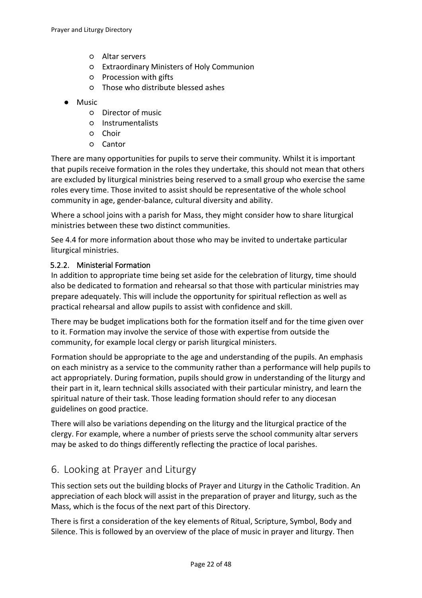- Altar servers
- Extraordinary Ministers of Holy Communion
- Procession with gifts
- Those who distribute blessed ashes
- Music
	- Director of music
	- Instrumentalists
	- Choir
	- Cantor

There are many opportunities for pupils to serve their community. Whilst it is important that pupils receive formation in the roles they undertake, this should not mean that others are excluded by liturgical ministries being reserved to a small group who exercise the same roles every time. Those invited to assist should be representative of the whole school community in age, gender-balance, cultural diversity and ability.

Where a school joins with a parish for Mass, they might consider how to share liturgical ministries between these two distinct communities.

See [4.4](#page-16-0) for more information about those who may be invited to undertake particular liturgical ministries.

#### <span id="page-21-0"></span>5.2.2. Ministerial Formation

In addition to appropriate time being set aside for the celebration of liturgy, time should also be dedicated to formation and rehearsal so that those with particular ministries may prepare adequately. This will include the opportunity for spiritual reflection as well as practical rehearsal and allow pupils to assist with confidence and skill.

There may be budget implications both for the formation itself and for the time given over to it. Formation may involve the service of those with expertise from outside the community, for example local clergy or parish liturgical ministers.

Formation should be appropriate to the age and understanding of the pupils. An emphasis on each ministry as a service to the community rather than a performance will help pupils to act appropriately. During formation, pupils should grow in understanding of the liturgy and their part in it, learn technical skills associated with their particular ministry, and learn the spiritual nature of their task. Those leading formation should refer to any diocesan guidelines on good practice.

There will also be variations depending on the liturgy and the liturgical practice of the clergy. For example, where a number of priests serve the school community altar servers may be asked to do things differently reflecting the practice of local parishes.

### <span id="page-21-1"></span>6. Looking at Prayer and Liturgy

This section sets out the building blocks of Prayer and Liturgy in the Catholic Tradition. An appreciation of each block will assist in the preparation of prayer and liturgy, such as the Mass, which is the focus of the next part of this Directory.

There is first a consideration of the key elements of Ritual, Scripture, Symbol, Body and Silence. This is followed by an overview of the place of music in prayer and liturgy. Then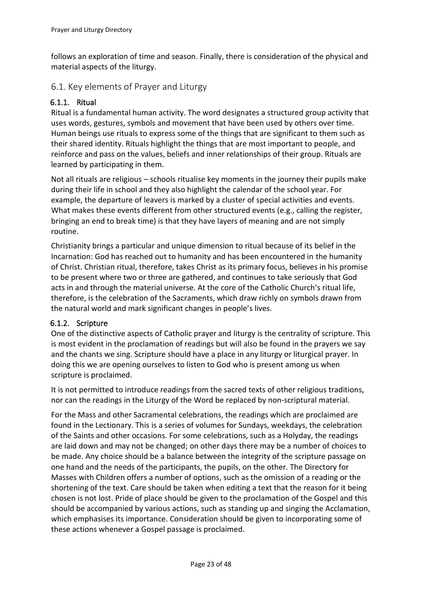follows an exploration of time and season. Finally, there is consideration of the physical and material aspects of the liturgy.

### <span id="page-22-0"></span>6.1. Key elements of Prayer and Liturgy

### <span id="page-22-1"></span>6.1.1. Ritual

Ritual is a fundamental human activity. The word designates a structured group activity that uses words, gestures, symbols and movement that have been used by others over time. Human beings use rituals to express some of the things that are significant to them such as their shared identity. Rituals highlight the things that are most important to people, and reinforce and pass on the values, beliefs and inner relationships of their group. Rituals are learned by participating in them.

Not all rituals are religious – schools ritualise key moments in the journey their pupils make during their life in school and they also highlight the calendar of the school year. For example, the departure of leavers is marked by a cluster of special activities and events. What makes these events different from other structured events (e.g., calling the register, bringing an end to break time) is that they have layers of meaning and are not simply routine.

Christianity brings a particular and unique dimension to ritual because of its belief in the Incarnation: God has reached out to humanity and has been encountered in the humanity of Christ. Christian ritual, therefore, takes Christ as its primary focus, believes in his promise to be present where two or three are gathered, and continues to take seriously that God acts in and through the material universe. At the core of the Catholic Church's ritual life, therefore, is the celebration of the Sacraments, which draw richly on symbols drawn from the natural world and mark significant changes in people's lives.

#### <span id="page-22-2"></span>6.1.2. Scripture

One of the distinctive aspects of Catholic prayer and liturgy is the centrality of scripture. This is most evident in the proclamation of readings but will also be found in the prayers we say and the chants we sing. Scripture should have a place in any liturgy or liturgical prayer. In doing this we are opening ourselves to listen to God who is present among us when scripture is proclaimed.

It is not permitted to introduce readings from the sacred texts of other religious traditions, nor can the readings in the Liturgy of the Word be replaced by non-scriptural material.

For the Mass and other Sacramental celebrations, the readings which are proclaimed are found in the Lectionary. This is a series of volumes for Sundays, weekdays, the celebration of the Saints and other occasions. For some celebrations, such as a Holyday, the readings are laid down and may not be changed; on other days there may be a number of choices to be made. Any choice should be a balance between the integrity of the scripture passage on one hand and the needs of the participants, the pupils, on the other. The Directory for Masses with Children offers a number of options, such as the omission of a reading or the shortening of the text. Care should be taken when editing a text that the reason for it being chosen is not lost. Pride of place should be given to the proclamation of the Gospel and this should be accompanied by various actions, such as standing up and singing the Acclamation, which emphasises its importance. Consideration should be given to incorporating some of these actions whenever a Gospel passage is proclaimed.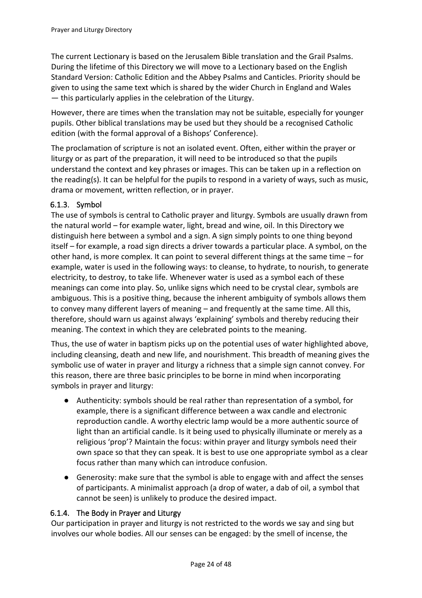The current Lectionary is based on the Jerusalem Bible translation and the Grail Psalms. During the lifetime of this Directory we will move to a Lectionary based on the English Standard Version: Catholic Edition and the Abbey Psalms and Canticles. Priority should be given to using the same text which is shared by the wider Church in England and Wales — this particularly applies in the celebration of the Liturgy.

However, there are times when the translation may not be suitable, especially for younger pupils. Other biblical translations may be used but they should be a recognised Catholic edition (with the formal approval of a Bishops' Conference).

The proclamation of scripture is not an isolated event. Often, either within the prayer or liturgy or as part of the preparation, it will need to be introduced so that the pupils understand the context and key phrases or images. This can be taken up in a reflection on the reading(s). It can be helpful for the pupils to respond in a variety of ways, such as music, drama or movement, written reflection, or in prayer.

### <span id="page-23-0"></span>6.1.3. Symbol

The use of symbols is central to Catholic prayer and liturgy. Symbols are usually drawn from the natural world – for example water, light, bread and wine, oil. In this Directory we distinguish here between a symbol and a sign. A sign simply points to one thing beyond itself – for example, a road sign directs a driver towards a particular place. A symbol, on the other hand, is more complex. It can point to several different things at the same time – for example, water is used in the following ways: to cleanse, to hydrate, to nourish, to generate electricity, to destroy, to take life. Whenever water is used as a symbol each of these meanings can come into play. So, unlike signs which need to be crystal clear, symbols are ambiguous. This is a positive thing, because the inherent ambiguity of symbols allows them to convey many different layers of meaning – and frequently at the same time. All this, therefore, should warn us against always 'explaining' symbols and thereby reducing their meaning. The context in which they are celebrated points to the meaning.

Thus, the use of water in baptism picks up on the potential uses of water highlighted above, including cleansing, death and new life, and nourishment. This breadth of meaning gives the symbolic use of water in prayer and liturgy a richness that a simple sign cannot convey. For this reason, there are three basic principles to be borne in mind when incorporating symbols in prayer and liturgy:

- Authenticity: symbols should be real rather than representation of a symbol, for example, there is a significant difference between a wax candle and electronic reproduction candle. A worthy electric lamp would be a more authentic source of light than an artificial candle. Is it being used to physically illuminate or merely as a religious 'prop'? Maintain the focus: within prayer and liturgy symbols need their own space so that they can speak. It is best to use one appropriate symbol as a clear focus rather than many which can introduce confusion.
- Generosity: make sure that the symbol is able to engage with and affect the senses of participants. A minimalist approach (a drop of water, a dab of oil, a symbol that cannot be seen) is unlikely to produce the desired impact.

#### <span id="page-23-1"></span>6.1.4. The Body in Prayer and Liturgy

Our participation in prayer and liturgy is not restricted to the words we say and sing but involves our whole bodies. All our senses can be engaged: by the smell of incense, the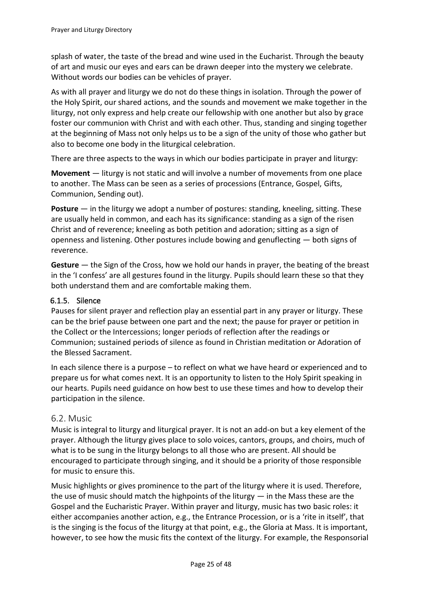splash of water, the taste of the bread and wine used in the Eucharist. Through the beauty of art and music our eyes and ears can be drawn deeper into the mystery we celebrate. Without words our bodies can be vehicles of prayer.

As with all prayer and liturgy we do not do these things in isolation. Through the power of the Holy Spirit, our shared actions, and the sounds and movement we make together in the liturgy, not only express and help create our fellowship with one another but also by grace foster our communion with Christ and with each other. Thus, standing and singing together at the beginning of Mass not only helps us to be a sign of the unity of those who gather but also to become one body in the liturgical celebration.

There are three aspects to the ways in which our bodies participate in prayer and liturgy:

**Movement** — liturgy is not static and will involve a number of movements from one place to another. The Mass can be seen as a series of processions (Entrance, Gospel, Gifts, Communion, Sending out).

**Posture** — in the liturgy we adopt a number of postures: standing, kneeling, sitting. These are usually held in common, and each has its significance: standing as a sign of the risen Christ and of reverence; kneeling as both petition and adoration; sitting as a sign of openness and listening. Other postures include bowing and genuflecting — both signs of reverence.

**Gesture** — the Sign of the Cross, how we hold our hands in prayer, the beating of the breast in the 'I confess' are all gestures found in the liturgy. Pupils should learn these so that they both understand them and are comfortable making them.

#### <span id="page-24-0"></span>6.1.5. Silence

Pauses for silent prayer and reflection play an essential part in any prayer or liturgy. These can be the brief pause between one part and the next; the pause for prayer or petition in the Collect or the Intercessions; longer periods of reflection after the readings or Communion; sustained periods of silence as found in Christian meditation or Adoration of the Blessed Sacrament.

In each silence there is a purpose – to reflect on what we have heard or experienced and to prepare us for what comes next. It is an opportunity to listen to the Holy Spirit speaking in our hearts. Pupils need guidance on how best to use these times and how to develop their participation in the silence.

#### <span id="page-24-1"></span>6.2. Music

Music is integral to liturgy and liturgical prayer. It is not an add-on but a key element of the prayer. Although the liturgy gives place to solo voices, cantors, groups, and choirs, much of what is to be sung in the liturgy belongs to all those who are present. All should be encouraged to participate through singing, and it should be a priority of those responsible for music to ensure this.

Music highlights or gives prominence to the part of the liturgy where it is used. Therefore, the use of music should match the highpoints of the liturgy  $-$  in the Mass these are the Gospel and the Eucharistic Prayer. Within prayer and liturgy, music has two basic roles: it either accompanies another action, e.g., the Entrance Procession, or is a 'rite in itself', that is the singing is the focus of the liturgy at that point, e.g., the Gloria at Mass. It is important, however, to see how the music fits the context of the liturgy. For example, the Responsorial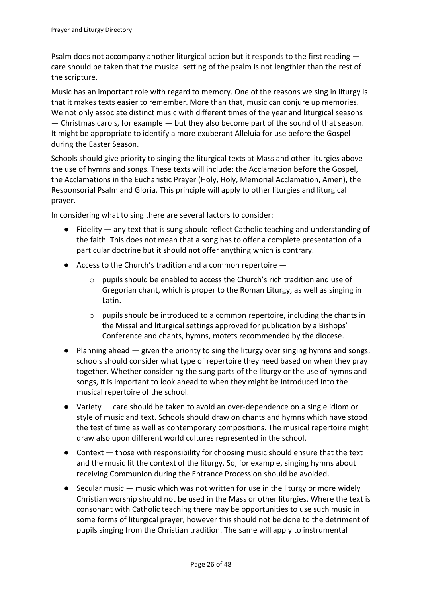Psalm does not accompany another liturgical action but it responds to the first reading care should be taken that the musical setting of the psalm is not lengthier than the rest of the scripture.

Music has an important role with regard to memory. One of the reasons we sing in liturgy is that it makes texts easier to remember. More than that, music can conjure up memories. We not only associate distinct music with different times of the year and liturgical seasons — Christmas carols, for example — but they also become part of the sound of that season. It might be appropriate to identify a more exuberant Alleluia for use before the Gospel during the Easter Season.

Schools should give priority to singing the liturgical texts at Mass and other liturgies above the use of hymns and songs. These texts will include: the Acclamation before the Gospel, the Acclamations in the Eucharistic Prayer (Holy, Holy, Memorial Acclamation, Amen), the Responsorial Psalm and Gloria. This principle will apply to other liturgies and liturgical prayer.

In considering what to sing there are several factors to consider:

- Fidelity any text that is sung should reflect Catholic teaching and understanding of the faith. This does not mean that a song has to offer a complete presentation of a particular doctrine but it should not offer anything which is contrary.
- $\bullet$  Access to the Church's tradition and a common repertoire  $$ 
	- o pupils should be enabled to access the Church's rich tradition and use of Gregorian chant, which is proper to the Roman Liturgy, as well as singing in Latin.
	- $\circ$  pupils should be introduced to a common repertoire, including the chants in the Missal and liturgical settings approved for publication by a Bishops' Conference and chants, hymns, motets recommended by the diocese.
- $\bullet$  Planning ahead  $-$  given the priority to sing the liturgy over singing hymns and songs, schools should consider what type of repertoire they need based on when they pray together. Whether considering the sung parts of the liturgy or the use of hymns and songs, it is important to look ahead to when they might be introduced into the musical repertoire of the school.
- Variety care should be taken to avoid an over-dependence on a single idiom or style of music and text. Schools should draw on chants and hymns which have stood the test of time as well as contemporary compositions. The musical repertoire might draw also upon different world cultures represented in the school.
- Context those with responsibility for choosing music should ensure that the text and the music fit the context of the liturgy. So, for example, singing hymns about receiving Communion during the Entrance Procession should be avoided.
- $\bullet$  Secular music music which was not written for use in the liturgy or more widely Christian worship should not be used in the Mass or other liturgies. Where the text is consonant with Catholic teaching there may be opportunities to use such music in some forms of liturgical prayer, however this should not be done to the detriment of pupils singing from the Christian tradition. The same will apply to instrumental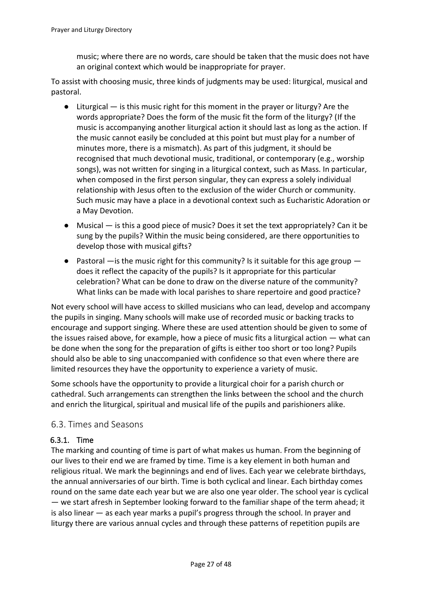music; where there are no words, care should be taken that the music does not have an original context which would be inappropriate for prayer.

To assist with choosing music, three kinds of judgments may be used: liturgical, musical and pastoral.

- Liturgical is this music right for this moment in the prayer or liturgy? Are the words appropriate? Does the form of the music fit the form of the liturgy? (If the music is accompanying another liturgical action it should last as long as the action. If the music cannot easily be concluded at this point but must play for a number of minutes more, there is a mismatch). As part of this judgment, it should be recognised that much devotional music, traditional, or contemporary (e.g., worship songs), was not written for singing in a liturgical context, such as Mass. In particular, when composed in the first person singular, they can express a solely individual relationship with Jesus often to the exclusion of the wider Church or community. Such music may have a place in a devotional context such as Eucharistic Adoration or a May Devotion.
- Musical is this a good piece of music? Does it set the text appropriately? Can it be sung by the pupils? Within the music being considered, are there opportunities to develop those with musical gifts?
- Pastoral —is the music right for this community? Is it suitable for this age group does it reflect the capacity of the pupils? Is it appropriate for this particular celebration? What can be done to draw on the diverse nature of the community? What links can be made with local parishes to share repertoire and good practice?

Not every school will have access to skilled musicians who can lead, develop and accompany the pupils in singing. Many schools will make use of recorded music or backing tracks to encourage and support singing. Where these are used attention should be given to some of the issues raised above, for example, how a piece of music fits a liturgical action — what can be done when the song for the preparation of gifts is either too short or too long? Pupils should also be able to sing unaccompanied with confidence so that even where there are limited resources they have the opportunity to experience a variety of music.

Some schools have the opportunity to provide a liturgical choir for a parish church or cathedral. Such arrangements can strengthen the links between the school and the church and enrich the liturgical, spiritual and musical life of the pupils and parishioners alike.

#### <span id="page-26-0"></span>6.3. Times and Seasons

#### <span id="page-26-1"></span>6.3.1. Time

The marking and counting of time is part of what makes us human. From the beginning of our lives to their end we are framed by time. Time is a key element in both human and religious ritual. We mark the beginnings and end of lives. Each year we celebrate birthdays, the annual anniversaries of our birth. Time is both cyclical and linear. Each birthday comes round on the same date each year but we are also one year older. The school year is cyclical — we start afresh in September looking forward to the familiar shape of the term ahead; it is also linear — as each year marks a pupil's progress through the school. In prayer and liturgy there are various annual cycles and through these patterns of repetition pupils are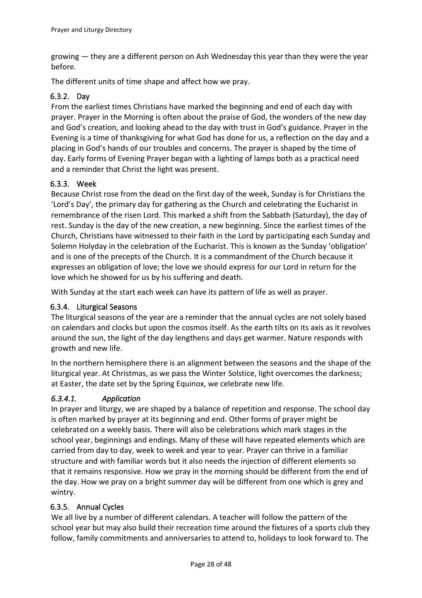growing — they are a different person on Ash Wednesday this year than they were the year before.

The different units of time shape and affect how we pray.

#### <span id="page-27-0"></span>6.3.2. Day

From the earliest times Christians have marked the beginning and end of each day with prayer. Prayer in the Morning is often about the praise of God, the wonders of the new day and God's creation, and looking ahead to the day with trust in God's guidance. Prayer in the Evening is a time of thanksgiving for what God has done for us, a reflection on the day and a placing in God's hands of our troubles and concerns. The prayer is shaped by the time of day. Early forms of Evening Prayer began with a lighting of lamps both as a practical need and a reminder that Christ the light was present.

#### <span id="page-27-1"></span>6.3.3. Week

Because Christ rose from the dead on the first day of the week, Sunday is for Christians the 'Lord's Day', the primary day for gathering as the Church and celebrating the Eucharist in remembrance of the risen Lord. This marked a shift from the Sabbath (Saturday), the day of rest. Sunday is the day of the new creation, a new beginning. Since the earliest times of the Church, Christians have witnessed to their faith in the Lord by participating each Sunday and Solemn Holyday in the celebration of the Eucharist. This is known as the Sunday 'obligation' and is one of the precepts of the Church. It is a commandment of the Church because it expresses an obligation of love; the love we should express for our Lord in return for the love which he showed for us by his suffering and death.

With Sunday at the start each week can have its pattern of life as well as prayer.

#### <span id="page-27-2"></span>6.3.4. Liturgical Seasons

The liturgical seasons of the year are a reminder that the annual cycles are not solely based on calendars and clocks but upon the cosmos itself. As the earth tilts on its axis as it revolves around the sun, the light of the day lengthens and days get warmer. Nature responds with growth and new life.

In the northern hemisphere there is an alignment between the seasons and the shape of the liturgical year. At Christmas, as we pass the Winter Solstice, light overcomes the darkness; at Easter, the date set by the Spring Equinox, we celebrate new life.

#### <span id="page-27-3"></span>*6.3.4.1. Application*

In prayer and liturgy, we are shaped by a balance of repetition and response. The school day is often marked by prayer at its beginning and end. Other forms of prayer might be celebrated on a weekly basis. There will also be celebrations which mark stages in the school year, beginnings and endings. Many of these will have repeated elements which are carried from day to day, week to week and year to year. Prayer can thrive in a familiar structure and with familiar words but it also needs the injection of different elements so that it remains responsive. How we pray in the morning should be different from the end of the day. How we pray on a bright summer day will be different from one which is grey and wintry.

#### <span id="page-27-4"></span>6.3.5. Annual Cycles

We all live by a number of different calendars. A teacher will follow the pattern of the school year but may also build their recreation time around the fixtures of a sports club they follow, family commitments and anniversaries to attend to, holidays to look forward to. The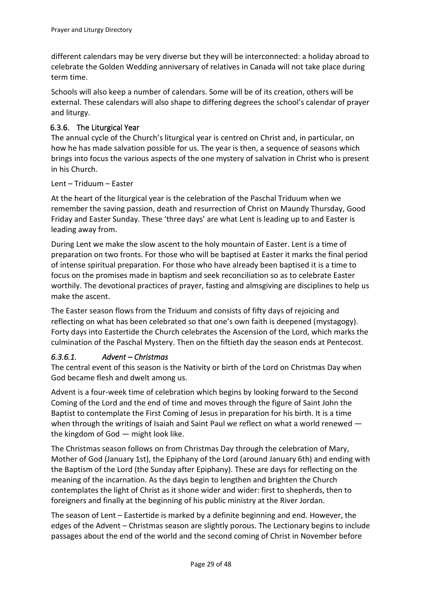different calendars may be very diverse but they will be interconnected: a holiday abroad to celebrate the Golden Wedding anniversary of relatives in Canada will not take place during term time.

Schools will also keep a number of calendars. Some will be of its creation, others will be external. These calendars will also shape to differing degrees the school's calendar of prayer and liturgy.

### <span id="page-28-0"></span>6.3.6. The Liturgical Year

The annual cycle of the Church's liturgical year is centred on Christ and, in particular, on how he has made salvation possible for us. The year is then, a sequence of seasons which brings into focus the various aspects of the one mystery of salvation in Christ who is present in his Church.

#### <span id="page-28-1"></span>Lent – Triduum – Easter

At the heart of the liturgical year is the celebration of the Paschal Triduum when we remember the saving passion, death and resurrection of Christ on Maundy Thursday, Good Friday and Easter Sunday. These 'three days' are what Lent is leading up to and Easter is leading away from.

During Lent we make the slow ascent to the holy mountain of Easter. Lent is a time of preparation on two fronts. For those who will be baptised at Easter it marks the final period of intense spiritual preparation. For those who have already been baptised it is a time to focus on the promises made in baptism and seek reconciliation so as to celebrate Easter worthily. The devotional practices of prayer, fasting and almsgiving are disciplines to help us make the ascent.

The Easter season flows from the Triduum and consists of fifty days of rejoicing and reflecting on what has been celebrated so that one's own faith is deepened (mystagogy). Forty days into Eastertide the Church celebrates the Ascension of the Lord, which marks the culmination of the Paschal Mystery. Then on the fiftieth day the season ends at Pentecost.

#### <span id="page-28-2"></span>*6.3.6.1. Advent – Christmas*

The central event of this season is the Nativity or birth of the Lord on Christmas Day when God became flesh and dwelt among us.

Advent is a four-week time of celebration which begins by looking forward to the Second Coming of the Lord and the end of time and moves through the figure of Saint John the Baptist to contemplate the First Coming of Jesus in preparation for his birth. It is a time when through the writings of Isaiah and Saint Paul we reflect on what a world renewed the kingdom of God — might look like.

The Christmas season follows on from Christmas Day through the celebration of Mary, Mother of God (January 1st), the Epiphany of the Lord (around January 6th) and ending with the Baptism of the Lord (the Sunday after Epiphany). These are days for reflecting on the meaning of the incarnation. As the days begin to lengthen and brighten the Church contemplates the light of Christ as it shone wider and wider: first to shepherds, then to foreigners and finally at the beginning of his public ministry at the River Jordan.

The season of Lent – Eastertide is marked by a definite beginning and end. However, the edges of the Advent – Christmas season are slightly porous. The Lectionary begins to include passages about the end of the world and the second coming of Christ in November before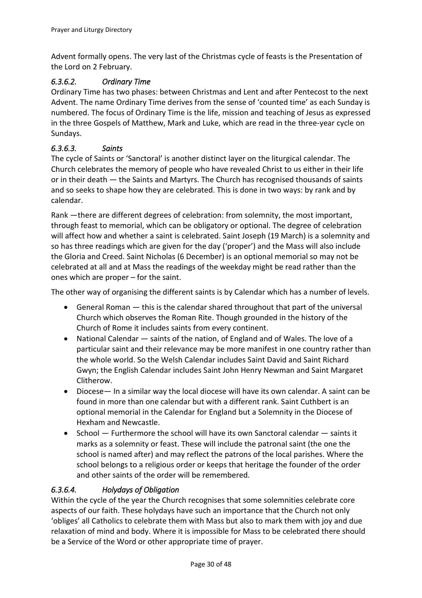Advent formally opens. The very last of the Christmas cycle of feasts is the Presentation of the Lord on 2 February.

### <span id="page-29-0"></span>*6.3.6.2. Ordinary Time*

Ordinary Time has two phases: between Christmas and Lent and after Pentecost to the next Advent. The name Ordinary Time derives from the sense of 'counted time' as each Sunday is numbered. The focus of Ordinary Time is the life, mission and teaching of Jesus as expressed in the three Gospels of Matthew, Mark and Luke, which are read in the three-year cycle on Sundays.

#### <span id="page-29-1"></span>*6.3.6.3. Saints*

The cycle of Saints or 'Sanctoral' is another distinct layer on the liturgical calendar. The Church celebrates the memory of people who have revealed Christ to us either in their life or in their death — the Saints and Martyrs. The Church has recognised thousands of saints and so seeks to shape how they are celebrated. This is done in two ways: by rank and by calendar.

Rank —there are different degrees of celebration: from solemnity, the most important, through feast to memorial, which can be obligatory or optional. The degree of celebration will affect how and whether a saint is celebrated. Saint Joseph (19 March) is a solemnity and so has three readings which are given for the day ('proper') and the Mass will also include the Gloria and Creed. Saint Nicholas (6 December) is an optional memorial so may not be celebrated at all and at Mass the readings of the weekday might be read rather than the ones which are proper – for the saint.

The other way of organising the different saints is by Calendar which has a number of levels.

- General Roman this is the calendar shared throughout that part of the universal Church which observes the Roman Rite. Though grounded in the history of the Church of Rome it includes saints from every continent.
- National Calendar saints of the nation, of England and of Wales. The love of a particular saint and their relevance may be more manifest in one country rather than the whole world. So the Welsh Calendar includes Saint David and Saint Richard Gwyn; the English Calendar includes Saint John Henry Newman and Saint Margaret Clitherow.
- Diocese— In a similar way the local diocese will have its own calendar. A saint can be found in more than one calendar but with a different rank. Saint Cuthbert is an optional memorial in the Calendar for England but a Solemnity in the Diocese of Hexham and Newcastle.
- School Furthermore the school will have its own Sanctoral calendar saints it marks as a solemnity or feast. These will include the patronal saint (the one the school is named after) and may reflect the patrons of the local parishes. Where the school belongs to a religious order or keeps that heritage the founder of the order and other saints of the order will be remembered.

#### <span id="page-29-2"></span>*6.3.6.4. Holydays of Obligation*

Within the cycle of the year the Church recognises that some solemnities celebrate core aspects of our faith. These holydays have such an importance that the Church not only 'obliges' all Catholics to celebrate them with Mass but also to mark them with joy and due relaxation of mind and body. Where it is impossible for Mass to be celebrated there should be a Service of the Word or other appropriate time of prayer.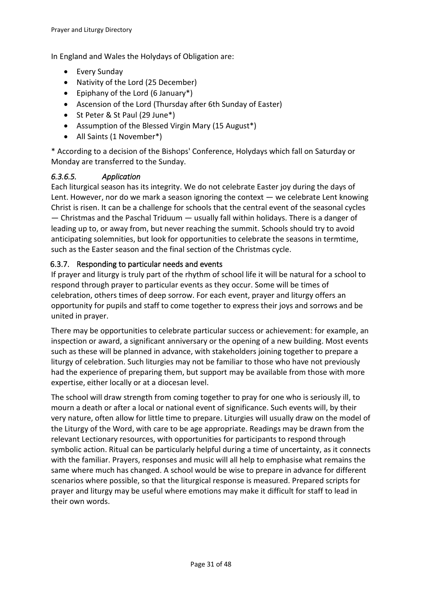In England and Wales the Holydays of Obligation are:

- Every Sunday
- Nativity of the Lord (25 December)
- Epiphany of the Lord (6 January\*)
- Ascension of the Lord (Thursday after 6th Sunday of Easter)
- St Peter & St Paul (29 June\*)
- Assumption of the Blessed Virgin Mary (15 August\*)
- All Saints (1 November\*)

\* According to a decision of the Bishops' Conference, Holydays which fall on Saturday or Monday are transferred to the Sunday.

#### <span id="page-30-0"></span>*6.3.6.5. Application*

Each liturgical season has its integrity. We do not celebrate Easter joy during the days of Lent. However, nor do we mark a season ignoring the context — we celebrate Lent knowing Christ is risen. It can be a challenge for schools that the central event of the seasonal cycles — Christmas and the Paschal Triduum — usually fall within holidays. There is a danger of leading up to, or away from, but never reaching the summit. Schools should try to avoid anticipating solemnities, but look for opportunities to celebrate the seasons in termtime, such as the Easter season and the final section of the Christmas cycle.

#### <span id="page-30-1"></span>6.3.7. Responding to particular needs and events

If prayer and liturgy is truly part of the rhythm of school life it will be natural for a school to respond through prayer to particular events as they occur. Some will be times of celebration, others times of deep sorrow. For each event, prayer and liturgy offers an opportunity for pupils and staff to come together to express their joys and sorrows and be united in prayer.

There may be opportunities to celebrate particular success or achievement: for example, an inspection or award, a significant anniversary or the opening of a new building. Most events such as these will be planned in advance, with stakeholders joining together to prepare a liturgy of celebration. Such liturgies may not be familiar to those who have not previously had the experience of preparing them, but support may be available from those with more expertise, either locally or at a diocesan level.

The school will draw strength from coming together to pray for one who is seriously ill, to mourn a death or after a local or national event of significance. Such events will, by their very nature, often allow for little time to prepare. Liturgies will usually draw on the model of the Liturgy of the Word, with care to be age appropriate. Readings may be drawn from the relevant Lectionary resources, with opportunities for participants to respond through symbolic action. Ritual can be particularly helpful during a time of uncertainty, as it connects with the familiar. Prayers, responses and music will all help to emphasise what remains the same where much has changed. A school would be wise to prepare in advance for different scenarios where possible, so that the liturgical response is measured. Prepared scripts for prayer and liturgy may be useful where emotions may make it difficult for staff to lead in their own words.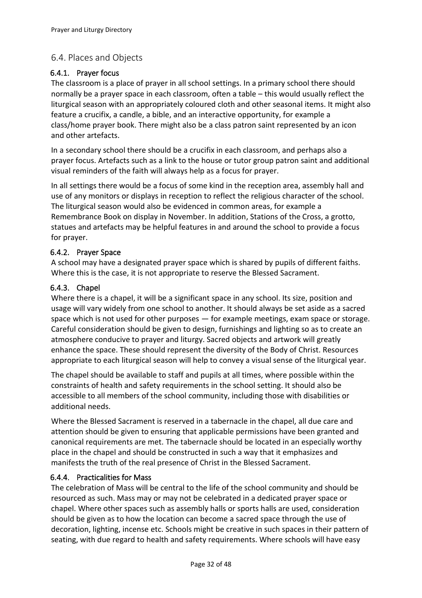### <span id="page-31-0"></span>6.4. Places and Objects

#### <span id="page-31-1"></span>6.4.1. Prayer focus

The classroom is a place of prayer in all school settings. In a primary school there should normally be a prayer space in each classroom, often a table – this would usually reflect the liturgical season with an appropriately coloured cloth and other seasonal items. It might also feature a crucifix, a candle, a bible, and an interactive opportunity, for example a class/home prayer book. There might also be a class patron saint represented by an icon and other artefacts.

In a secondary school there should be a crucifix in each classroom, and perhaps also a prayer focus. Artefacts such as a link to the house or tutor group patron saint and additional visual reminders of the faith will always help as a focus for prayer.

In all settings there would be a focus of some kind in the reception area, assembly hall and use of any monitors or displays in reception to reflect the religious character of the school. The liturgical season would also be evidenced in common areas, for example a Remembrance Book on display in November. In addition, Stations of the Cross, a grotto, statues and artefacts may be helpful features in and around the school to provide a focus for prayer.

#### <span id="page-31-2"></span>6.4.2. Prayer Space

A school may have a designated prayer space which is shared by pupils of different faiths. Where this is the case, it is not appropriate to reserve the Blessed Sacrament.

#### <span id="page-31-3"></span>6.4.3. Chapel

Where there is a chapel, it will be a significant space in any school. Its size, position and usage will vary widely from one school to another. It should always be set aside as a sacred space which is not used for other purposes — for example meetings, exam space or storage. Careful consideration should be given to design, furnishings and lighting so as to create an atmosphere conducive to prayer and liturgy. Sacred objects and artwork will greatly enhance the space. These should represent the diversity of the Body of Christ. Resources appropriate to each liturgical season will help to convey a visual sense of the liturgical year.

The chapel should be available to staff and pupils at all times, where possible within the constraints of health and safety requirements in the school setting. It should also be accessible to all members of the school community, including those with disabilities or additional needs.

Where the Blessed Sacrament is reserved in a tabernacle in the chapel, all due care and attention should be given to ensuring that applicable permissions have been granted and canonical requirements are met. The tabernacle should be located in an especially worthy place in the chapel and should be constructed in such a way that it emphasizes and manifests the truth of the real presence of Christ in the Blessed Sacrament.

#### <span id="page-31-4"></span>6.4.4. Practicalities for Mass

The celebration of Mass will be central to the life of the school community and should be resourced as such. Mass may or may not be celebrated in a dedicated prayer space or chapel. Where other spaces such as assembly halls or sports halls are used, consideration should be given as to how the location can become a sacred space through the use of decoration, lighting, incense etc. Schools might be creative in such spaces in their pattern of seating, with due regard to health and safety requirements. Where schools will have easy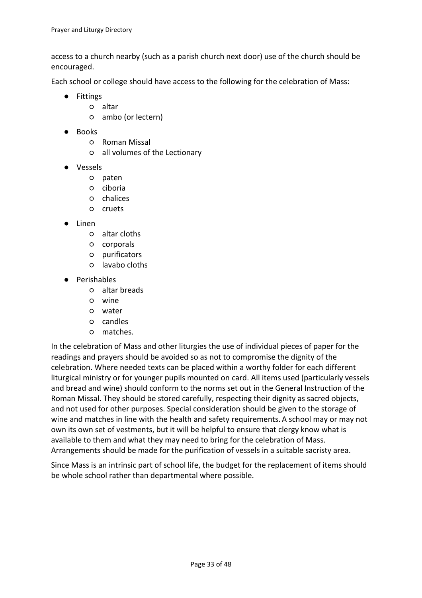access to a church nearby (such as a parish church next door) use of the church should be encouraged.

Each school or college should have access to the following for the celebration of Mass:

- Fittings
	- altar
	- ambo (or lectern)
- Books
	- Roman Missal
	- all volumes of the Lectionary
- Vessels
	- paten
	- ciboria
	- chalices
	- cruets
- Linen
	- altar cloths
	- corporals
	- purificators
	- lavabo cloths
- Perishables
	- altar breads
	- wine
	- water
	- candles
	- matches.

In the celebration of Mass and other liturgies the use of individual pieces of paper for the readings and prayers should be avoided so as not to compromise the dignity of the celebration. Where needed texts can be placed within a worthy folder for each different liturgical ministry or for younger pupils mounted on card. All items used (particularly vessels and bread and wine) should conform to the norms set out in the General Instruction of the Roman Missal. They should be stored carefully, respecting their dignity as sacred objects, and not used for other purposes. Special consideration should be given to the storage of wine and matches in line with the health and safety requirements. A school may or may not own its own set of vestments, but it will be helpful to ensure that clergy know what is available to them and what they may need to bring for the celebration of Mass. Arrangements should be made for the purification of vessels in a suitable sacristy area.

Since Mass is an intrinsic part of school life, the budget for the replacement of items should be whole school rather than departmental where possible.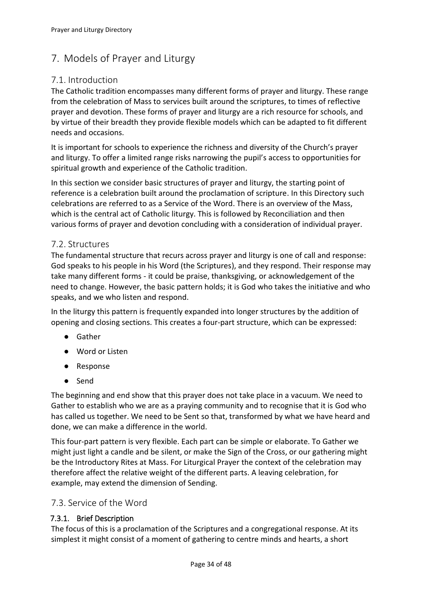### <span id="page-33-0"></span>7. Models of Prayer and Liturgy

### <span id="page-33-1"></span>7.1. Introduction

The Catholic tradition encompasses many different forms of prayer and liturgy. These range from the celebration of Mass to services built around the scriptures, to times of reflective prayer and devotion. These forms of prayer and liturgy are a rich resource for schools, and by virtue of their breadth they provide flexible models which can be adapted to fit different needs and occasions.

It is important for schools to experience the richness and diversity of the Church's prayer and liturgy. To offer a limited range risks narrowing the pupil's access to opportunities for spiritual growth and experience of the Catholic tradition.

In this section we consider basic structures of prayer and liturgy, the starting point of reference is a celebration built around the proclamation of scripture. In this Directory such celebrations are referred to as a Service of the Word. There is an overview of the Mass, which is the central act of Catholic liturgy. This is followed by Reconciliation and then various forms of prayer and devotion concluding with a consideration of individual prayer.

#### <span id="page-33-2"></span>7.2. Structures

The fundamental structure that recurs across prayer and liturgy is one of call and response: God speaks to his people in his Word (the Scriptures), and they respond. Their response may take many different forms - it could be praise, thanksgiving, or acknowledgement of the need to change. However, the basic pattern holds; it is God who takes the initiative and who speaks, and we who listen and respond.

In the liturgy this pattern is frequently expanded into longer structures by the addition of opening and closing sections. This creates a four-part structure, which can be expressed:

- Gather
- Word or Listen
- Response
- Send

The beginning and end show that this prayer does not take place in a vacuum. We need to Gather to establish who we are as a praying community and to recognise that it is God who has called us together. We need to be Sent so that, transformed by what we have heard and done, we can make a difference in the world.

This four-part pattern is very flexible. Each part can be simple or elaborate. To Gather we might just light a candle and be silent, or make the Sign of the Cross, or our gathering might be the Introductory Rites at Mass. For Liturgical Prayer the context of the celebration may therefore affect the relative weight of the different parts. A leaving celebration, for example, may extend the dimension of Sending.

#### <span id="page-33-3"></span>7.3. Service of the Word

#### <span id="page-33-4"></span>7.3.1. Brief Description

The focus of this is a proclamation of the Scriptures and a congregational response. At its simplest it might consist of a moment of gathering to centre minds and hearts, a short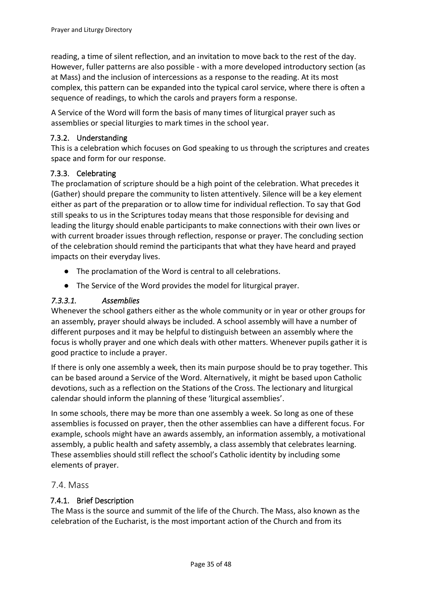reading, a time of silent reflection, and an invitation to move back to the rest of the day. However, fuller patterns are also possible - with a more developed introductory section (as at Mass) and the inclusion of intercessions as a response to the reading. At its most complex, this pattern can be expanded into the typical carol service, where there is often a sequence of readings, to which the carols and prayers form a response.

A Service of the Word will form the basis of many times of liturgical prayer such as assemblies or special liturgies to mark times in the school year.

#### <span id="page-34-0"></span>7.3.2. Understanding

This is a celebration which focuses on God speaking to us through the scriptures and creates space and form for our response.

#### <span id="page-34-1"></span>7.3.3. Celebrating

The proclamation of scripture should be a high point of the celebration. What precedes it (Gather) should prepare the community to listen attentively. Silence will be a key element either as part of the preparation or to allow time for individual reflection. To say that God still speaks to us in the Scriptures today means that those responsible for devising and leading the liturgy should enable participants to make connections with their own lives or with current broader issues through reflection, response or prayer. The concluding section of the celebration should remind the participants that what they have heard and prayed impacts on their everyday lives.

- The proclamation of the Word is central to all celebrations.
- The Service of the Word provides the model for liturgical prayer.

### <span id="page-34-2"></span>*7.3.3.1. Assemblies*

Whenever the school gathers either as the whole community or in year or other groups for an assembly, prayer should always be included. A school assembly will have a number of different purposes and it may be helpful to distinguish between an assembly where the focus is wholly prayer and one which deals with other matters. Whenever pupils gather it is good practice to include a prayer.

If there is only one assembly a week, then its main purpose should be to pray together. This can be based around a Service of the Word. Alternatively, it might be based upon Catholic devotions, such as a reflection on the Stations of the Cross. The lectionary and liturgical calendar should inform the planning of these 'liturgical assemblies'.

In some schools, there may be more than one assembly a week. So long as one of these assemblies is focussed on prayer, then the other assemblies can have a different focus. For example, schools might have an awards assembly, an information assembly, a motivational assembly, a public health and safety assembly, a class assembly that celebrates learning. These assemblies should still reflect the school's Catholic identity by including some elements of prayer.

### <span id="page-34-3"></span>7.4. Mass

#### <span id="page-34-4"></span>7.4.1. Brief Description

The Mass is the source and summit of the life of the Church. The Mass, also known as the celebration of the Eucharist, is the most important action of the Church and from its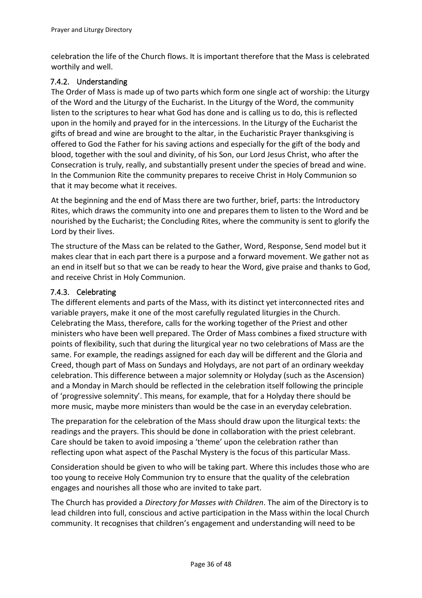celebration the life of the Church flows. It is important therefore that the Mass is celebrated worthily and well.

#### <span id="page-35-0"></span>7.4.2. Understanding

The Order of Mass is made up of two parts which form one single act of worship: the Liturgy of the Word and the Liturgy of the Eucharist. In the Liturgy of the Word, the community listen to the scriptures to hear what God has done and is calling us to do, this is reflected upon in the homily and prayed for in the intercessions. In the Liturgy of the Eucharist the gifts of bread and wine are brought to the altar, in the Eucharistic Prayer thanksgiving is offered to God the Father for his saving actions and especially for the gift of the body and blood, together with the soul and divinity, of his Son, our Lord Jesus Christ, who after the Consecration is truly, really, and substantially present under the species of bread and wine. In the Communion Rite the community prepares to receive Christ in Holy Communion so that it may become what it receives.

At the beginning and the end of Mass there are two further, brief, parts: the Introductory Rites, which draws the community into one and prepares them to listen to the Word and be nourished by the Eucharist; the Concluding Rites, where the community is sent to glorify the Lord by their lives.

The structure of the Mass can be related to the Gather, Word, Response, Send model but it makes clear that in each part there is a purpose and a forward movement. We gather not as an end in itself but so that we can be ready to hear the Word, give praise and thanks to God, and receive Christ in Holy Communion.

#### <span id="page-35-1"></span>7.4.3. Celebrating

The different elements and parts of the Mass, with its distinct yet interconnected rites and variable prayers, make it one of the most carefully regulated liturgies in the Church. Celebrating the Mass, therefore, calls for the working together of the Priest and other ministers who have been well prepared. The Order of Mass combines a fixed structure with points of flexibility, such that during the liturgical year no two celebrations of Mass are the same. For example, the readings assigned for each day will be different and the Gloria and Creed, though part of Mass on Sundays and Holydays, are not part of an ordinary weekday celebration. This difference between a major solemnity or Holyday (such as the Ascension) and a Monday in March should be reflected in the celebration itself following the principle of 'progressive solemnity'. This means, for example, that for a Holyday there should be more music, maybe more ministers than would be the case in an everyday celebration.

The preparation for the celebration of the Mass should draw upon the liturgical texts: the readings and the prayers. This should be done in collaboration with the priest celebrant. Care should be taken to avoid imposing a 'theme' upon the celebration rather than reflecting upon what aspect of the Paschal Mystery is the focus of this particular Mass.

Consideration should be given to who will be taking part. Where this includes those who are too young to receive Holy Communion try to ensure that the quality of the celebration engages and nourishes all those who are invited to take part.

The Church has provided a *Directory for Masses with Children*. The aim of the Directory is to lead children into full, conscious and active participation in the Mass within the local Church community. It recognises that children's engagement and understanding will need to be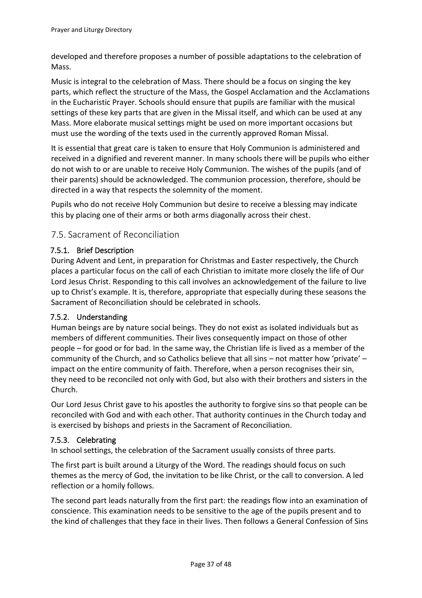developed and therefore proposes a number of possible adaptations to the celebration of Mass.

Music is integral to the celebration of Mass. There should be a focus on singing the key parts, which reflect the structure of the Mass, the Gospel Acclamation and the Acclamations in the Eucharistic Prayer. Schools should ensure that pupils are familiar with the musical settings of these key parts that are given in the Missal itself, and which can be used at any Mass. More elaborate musical settings might be used on more important occasions but must use the wording of the texts used in the currently approved Roman Missal.

It is essential that great care is taken to ensure that Holy Communion is administered and received in a dignified and reverent manner. In many schools there will be pupils who either do not wish to or are unable to receive Holy Communion. The wishes of the pupils (and of their parents) should be acknowledged. The communion procession, therefore, should be directed in a way that respects the solemnity of the moment.

Pupils who do not receive Holy Communion but desire to receive a blessing may indicate this by placing one of their arms or both arms diagonally across their chest.

### <span id="page-36-0"></span>7.5. Sacrament of Reconciliation

#### <span id="page-36-1"></span>7.5.1. Brief Description

During Advent and Lent, in preparation for Christmas and Easter respectively, the Church places a particular focus on the call of each Christian to imitate more closely the life of Our Lord Jesus Christ. Responding to this call involves an acknowledgement of the failure to live up to Christ's example. It is, therefore, appropriate that especially during these seasons the Sacrament of Reconciliation should be celebrated in schools.

#### <span id="page-36-2"></span>7.5.2. Understanding

Human beings are by nature social beings. They do not exist as isolated individuals but as members of different communities. Their lives consequently impact on those of other people – for good or for bad. In the same way, the Christian life is lived as a member of the community of the Church, and so Catholics believe that all sins – not matter how 'private' – impact on the entire community of faith. Therefore, when a person recognises their sin, they need to be reconciled not only with God, but also with their brothers and sisters in the Church.

Our Lord Jesus Christ gave to his apostles the authority to forgive sins so that people can be reconciled with God and with each other. That authority continues in the Church today and is exercised by bishops and priests in the Sacrament of Reconciliation.

#### <span id="page-36-3"></span>7.5.3. Celebrating

In school settings, the celebration of the Sacrament usually consists of three parts.

The first part is built around a Liturgy of the Word. The readings should focus on such themes as the mercy of God, the invitation to be like Christ, or the call to conversion. A led reflection or a homily follows.

The second part leads naturally from the first part: the readings flow into an examination of conscience. This examination needs to be sensitive to the age of the pupils present and to the kind of challenges that they face in their lives. Then follows a General Confession of Sins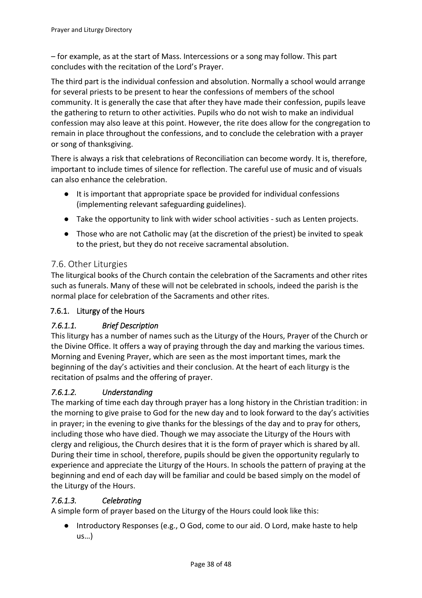– for example, as at the start of Mass. Intercessions or a song may follow. This part concludes with the recitation of the Lord's Prayer.

The third part is the individual confession and absolution. Normally a school would arrange for several priests to be present to hear the confessions of members of the school community. It is generally the case that after they have made their confession, pupils leave the gathering to return to other activities. Pupils who do not wish to make an individual confession may also leave at this point. However, the rite does allow for the congregation to remain in place throughout the confessions, and to conclude the celebration with a prayer or song of thanksgiving.

There is always a risk that celebrations of Reconciliation can become wordy. It is, therefore, important to include times of silence for reflection. The careful use of music and of visuals can also enhance the celebration.

- It is important that appropriate space be provided for individual confessions (implementing relevant safeguarding guidelines).
- Take the opportunity to link with wider school activities such as Lenten projects.
- Those who are not Catholic may (at the discretion of the priest) be invited to speak to the priest, but they do not receive sacramental absolution.

### <span id="page-37-0"></span>7.6. Other Liturgies

The liturgical books of the Church contain the celebration of the Sacraments and other rites such as funerals. Many of these will not be celebrated in schools, indeed the parish is the normal place for celebration of the Sacraments and other rites.

### <span id="page-37-1"></span>7.6.1. Liturgy of the Hours

### <span id="page-37-2"></span>*7.6.1.1. Brief Description*

This liturgy has a number of names such as the Liturgy of the Hours, Prayer of the Church or the Divine Office. It offers a way of praying through the day and marking the various times. Morning and Evening Prayer, which are seen as the most important times, mark the beginning of the day's activities and their conclusion. At the heart of each liturgy is the recitation of psalms and the offering of prayer.

### <span id="page-37-3"></span>*7.6.1.2. Understanding*

The marking of time each day through prayer has a long history in the Christian tradition: in the morning to give praise to God for the new day and to look forward to the day's activities in prayer; in the evening to give thanks for the blessings of the day and to pray for others, including those who have died. Though we may associate the Liturgy of the Hours with clergy and religious, the Church desires that it is the form of prayer which is shared by all. During their time in school, therefore, pupils should be given the opportunity regularly to experience and appreciate the Liturgy of the Hours. In schools the pattern of praying at the beginning and end of each day will be familiar and could be based simply on the model of the Liturgy of the Hours.

#### <span id="page-37-4"></span>*7.6.1.3. Celebrating*

A simple form of prayer based on the Liturgy of the Hours could look like this:

● Introductory Responses (e.g., O God, come to our aid. O Lord, make haste to help us…)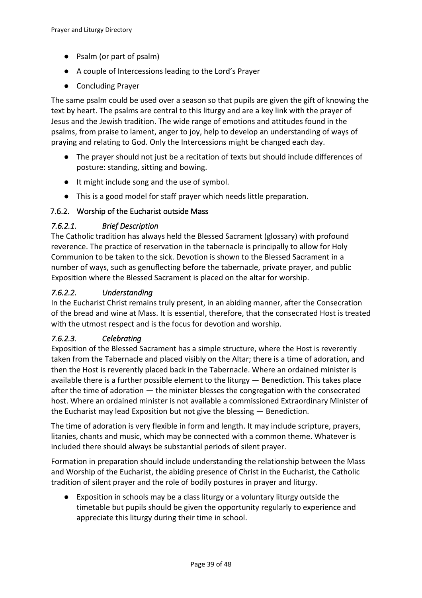- Psalm (or part of psalm)
- A couple of Intercessions leading to the Lord's Prayer
- Concluding Prayer

The same psalm could be used over a season so that pupils are given the gift of knowing the text by heart. The psalms are central to this liturgy and are a key link with the prayer of Jesus and the Jewish tradition. The wide range of emotions and attitudes found in the psalms, from praise to lament, anger to joy, help to develop an understanding of ways of praying and relating to God. Only the Intercessions might be changed each day.

- The prayer should not just be a recitation of texts but should include differences of posture: standing, sitting and bowing.
- It might include song and the use of symbol.
- This is a good model for staff prayer which needs little preparation.

#### <span id="page-38-0"></span>7.6.2. Worship of the Eucharist outside Mass

#### <span id="page-38-1"></span>*7.6.2.1. Brief Description*

The Catholic tradition has always held the Blessed Sacrament (glossary) with profound reverence. The practice of reservation in the tabernacle is principally to allow for Holy Communion to be taken to the sick. Devotion is shown to the Blessed Sacrament in a number of ways, such as genuflecting before the tabernacle, private prayer, and public Exposition where the Blessed Sacrament is placed on the altar for worship.

#### <span id="page-38-2"></span>*7.6.2.2. Understanding*

In the Eucharist Christ remains truly present, in an abiding manner, after the Consecration of the bread and wine at Mass. It is essential, therefore, that the consecrated Host is treated with the utmost respect and is the focus for devotion and worship.

#### <span id="page-38-3"></span>*7.6.2.3. Celebrating*

Exposition of the Blessed Sacrament has a simple structure, where the Host is reverently taken from the Tabernacle and placed visibly on the Altar; there is a time of adoration, and then the Host is reverently placed back in the Tabernacle. Where an ordained minister is available there is a further possible element to the liturgy — Benediction. This takes place after the time of adoration — the minister blesses the congregation with the consecrated host. Where an ordained minister is not available a commissioned Extraordinary Minister of the Eucharist may lead Exposition but not give the blessing — Benediction.

The time of adoration is very flexible in form and length. It may include scripture, prayers, litanies, chants and music, which may be connected with a common theme. Whatever is included there should always be substantial periods of silent prayer.

Formation in preparation should include understanding the relationship between the Mass and Worship of the Eucharist, the abiding presence of Christ in the Eucharist, the Catholic tradition of silent prayer and the role of bodily postures in prayer and liturgy.

● Exposition in schools may be a class liturgy or a voluntary liturgy outside the timetable but pupils should be given the opportunity regularly to experience and appreciate this liturgy during their time in school.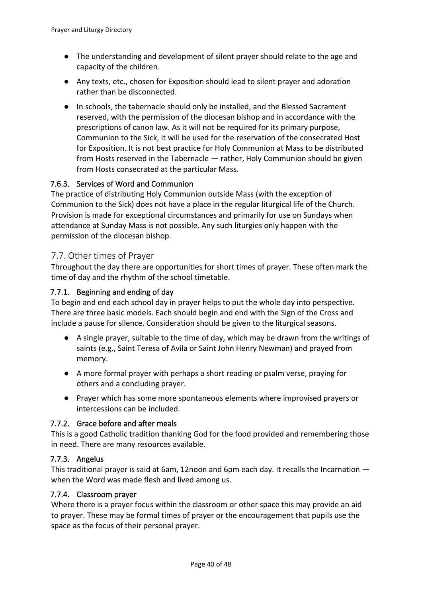- The understanding and development of silent prayer should relate to the age and capacity of the children.
- Any texts, etc., chosen for Exposition should lead to silent prayer and adoration rather than be disconnected.
- In schools, the tabernacle should only be installed, and the Blessed Sacrament reserved, with the permission of the diocesan bishop and in accordance with the prescriptions of canon law. As it will not be required for its primary purpose, Communion to the Sick, it will be used for the reservation of the consecrated Host for Exposition. It is not best practice for Holy Communion at Mass to be distributed from Hosts reserved in the Tabernacle — rather, Holy Communion should be given from Hosts consecrated at the particular Mass.

#### <span id="page-39-0"></span>7.6.3. Services of Word and Communion

The practice of distributing Holy Communion outside Mass (with the exception of Communion to the Sick) does not have a place in the regular liturgical life of the Church. Provision is made for exceptional circumstances and primarily for use on Sundays when attendance at Sunday Mass is not possible. Any such liturgies only happen with the permission of the diocesan bishop.

#### <span id="page-39-1"></span>7.7. Other times of Prayer

Throughout the day there are opportunities for short times of prayer. These often mark the time of day and the rhythm of the school timetable.

#### <span id="page-39-2"></span>7.7.1. Beginning and ending of day

To begin and end each school day in prayer helps to put the whole day into perspective. There are three basic models. Each should begin and end with the Sign of the Cross and include a pause for silence. Consideration should be given to the liturgical seasons.

- A single prayer, suitable to the time of day, which may be drawn from the writings of saints (e.g., Saint Teresa of Avila or Saint John Henry Newman) and prayed from memory.
- A more formal prayer with perhaps a short reading or psalm verse, praying for others and a concluding prayer.
- Prayer which has some more spontaneous elements where improvised prayers or intercessions can be included.

#### <span id="page-39-3"></span>7.7.2. Grace before and after meals

This is a good Catholic tradition thanking God for the food provided and remembering those in need. There are many resources available.

#### <span id="page-39-4"></span>7.7.3. Angelus

This traditional prayer is said at 6am, 12noon and 6pm each day. It recalls the Incarnation when the Word was made flesh and lived among us.

#### <span id="page-39-5"></span>7.7.4. Classroom prayer

Where there is a prayer focus within the classroom or other space this may provide an aid to prayer. These may be formal times of prayer or the encouragement that pupils use the space as the focus of their personal prayer.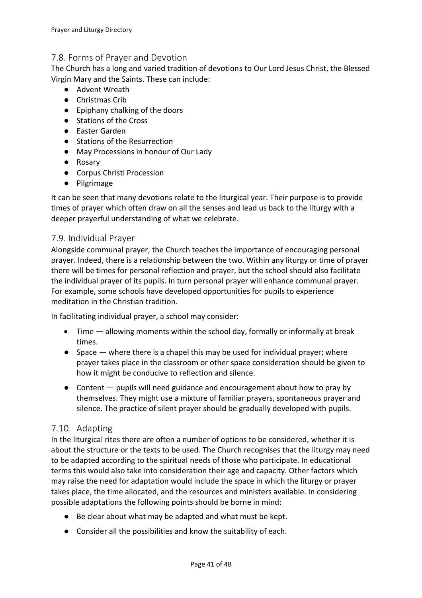### <span id="page-40-0"></span>7.8. Forms of Prayer and Devotion

The Church has a long and varied tradition of devotions to Our Lord Jesus Christ, the Blessed Virgin Mary and the Saints. These can include:

- Advent Wreath
- Christmas Crib
- Epiphany chalking of the doors
- Stations of the Cross
- Easter Garden
- Stations of the Resurrection
- May Processions in honour of Our Lady
- Rosary
- Corpus Christi Procession
- Pilgrimage

It can be seen that many devotions relate to the liturgical year. Their purpose is to provide times of prayer which often draw on all the senses and lead us back to the liturgy with a deeper prayerful understanding of what we celebrate.

### <span id="page-40-1"></span>7.9. Individual Prayer

Alongside communal prayer, the Church teaches the importance of encouraging personal prayer. Indeed, there is a relationship between the two. Within any liturgy or time of prayer there will be times for personal reflection and prayer, but the school should also facilitate the individual prayer of its pupils. In turn personal prayer will enhance communal prayer. For example, some schools have developed opportunities for pupils to experience meditation in the Christian tradition.

In facilitating individual prayer, a school may consider:

- Time allowing moments within the school day, formally or informally at break times.
- Space where there is a chapel this may be used for individual prayer; where prayer takes place in the classroom or other space consideration should be given to how it might be conducive to reflection and silence.
- Content pupils will need guidance and encouragement about how to pray by themselves. They might use a mixture of familiar prayers, spontaneous prayer and silence. The practice of silent prayer should be gradually developed with pupils.

### <span id="page-40-2"></span>7.10. Adapting

In the liturgical rites there are often a number of options to be considered, whether it is about the structure or the texts to be used. The Church recognises that the liturgy may need to be adapted according to the spiritual needs of those who participate. In educational terms this would also take into consideration their age and capacity. Other factors which may raise the need for adaptation would include the space in which the liturgy or prayer takes place, the time allocated, and the resources and ministers available. In considering possible adaptations the following points should be borne in mind:

- Be clear about what may be adapted and what must be kept.
- Consider all the possibilities and know the suitability of each.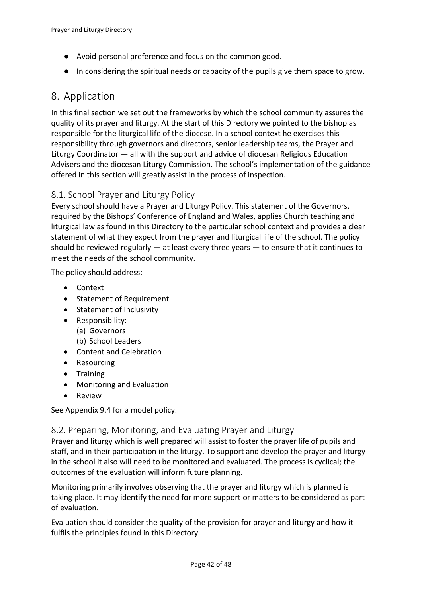- Avoid personal preference and focus on the common good.
- In considering the spiritual needs or capacity of the pupils give them space to grow.

### <span id="page-41-0"></span>8. Application

In this final section we set out the frameworks by which the school community assures the quality of its prayer and liturgy. At the start of this Directory we pointed to the bishop as responsible for the liturgical life of the diocese. In a school context he exercises this responsibility through governors and directors, senior leadership teams, the Prayer and Liturgy Coordinator — all with the support and advice of diocesan Religious Education Advisers and the diocesan Liturgy Commission. The school's implementation of the guidance offered in this section will greatly assist in the process of inspection.

#### <span id="page-41-1"></span>8.1. School Prayer and Liturgy Policy

Every school should have a Prayer and Liturgy Policy. This statement of the Governors, required by the Bishops' Conference of England and Wales, applies Church teaching and liturgical law as found in this Directory to the particular school context and provides a clear statement of what they expect from the prayer and liturgical life of the school. The policy should be reviewed regularly  $-$  at least every three years  $-$  to ensure that it continues to meet the needs of the school community.

The policy should address:

- Context
- Statement of Requirement
- Statement of Inclusivity
- Responsibility:
	- (a) Governors
	- (b) School Leaders
- Content and Celebration
- Resourcing
- Training
- Monitoring and Evaluation
- Review

See Appendix [9.4](#page-47-1) for a model policy.

#### <span id="page-41-2"></span>8.2. Preparing, Monitoring, and Evaluating Prayer and Liturgy

Prayer and liturgy which is well prepared will assist to foster the prayer life of pupils and staff, and in their participation in the liturgy. To support and develop the prayer and liturgy in the school it also will need to be monitored and evaluated. The process is cyclical; the outcomes of the evaluation will inform future planning.

Monitoring primarily involves observing that the prayer and liturgy which is planned is taking place. It may identify the need for more support or matters to be considered as part of evaluation.

Evaluation should consider the quality of the provision for prayer and liturgy and how it fulfils the principles found in this Directory.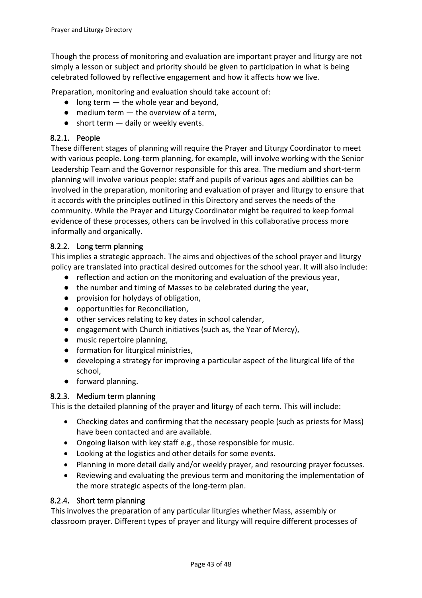Though the process of monitoring and evaluation are important prayer and liturgy are not simply a lesson or subject and priority should be given to participation in what is being celebrated followed by reflective engagement and how it affects how we live.

Preparation, monitoring and evaluation should take account of:

- $\bullet$  long term  $-$  the whole year and beyond,
- $\bullet$  medium term  $-$  the overview of a term,
- $\bullet$  short term  $-$  daily or weekly events.

#### <span id="page-42-0"></span>8.2.1. People

These different stages of planning will require the Prayer and Liturgy Coordinator to meet with various people. Long-term planning, for example, will involve working with the Senior Leadership Team and the Governor responsible for this area. The medium and short-term planning will involve various people: staff and pupils of various ages and abilities can be involved in the preparation, monitoring and evaluation of prayer and liturgy to ensure that it accords with the principles outlined in this Directory and serves the needs of the community. While the Prayer and Liturgy Coordinator might be required to keep formal evidence of these processes, others can be involved in this collaborative process more informally and organically.

#### <span id="page-42-1"></span>8.2.2. Long term planning

This implies a strategic approach. The aims and objectives of the school prayer and liturgy policy are translated into practical desired outcomes for the school year. It will also include:

- reflection and action on the monitoring and evaluation of the previous year,
- the number and timing of Masses to be celebrated during the year,
- provision for holydays of obligation,
- opportunities for Reconciliation,
- other services relating to key dates in school calendar,
- engagement with Church initiatives (such as, the Year of Mercy),
- music repertoire planning,
- formation for liturgical ministries,
- developing a strategy for improving a particular aspect of the liturgical life of the school,
- forward planning.

### <span id="page-42-2"></span>8.2.3. Medium term planning

This is the detailed planning of the prayer and liturgy of each term. This will include:

- Checking dates and confirming that the necessary people (such as priests for Mass) have been contacted and are available.
- Ongoing liaison with key staff e.g., those responsible for music.
- Looking at the logistics and other details for some events.
- Planning in more detail daily and/or weekly prayer, and resourcing prayer focusses.
- Reviewing and evaluating the previous term and monitoring the implementation of the more strategic aspects of the long-term plan.

#### <span id="page-42-3"></span>8.2.4. Short term planning

This involves the preparation of any particular liturgies whether Mass, assembly or classroom prayer. Different types of prayer and liturgy will require different processes of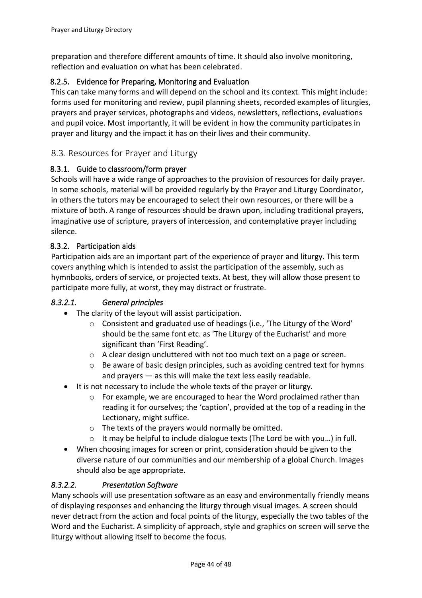preparation and therefore different amounts of time. It should also involve monitoring, reflection and evaluation on what has been celebrated.

### <span id="page-43-0"></span>8.2.5. Evidence for Preparing, Monitoring and Evaluation

This can take many forms and will depend on the school and its context. This might include: forms used for monitoring and review, pupil planning sheets, recorded examples of liturgies, prayers and prayer services, photographs and videos, newsletters, reflections, evaluations and pupil voice. Most importantly, it will be evident in how the community participates in prayer and liturgy and the impact it has on their lives and their community.

### <span id="page-43-1"></span>8.3. Resources for Prayer and Liturgy

#### <span id="page-43-2"></span>8.3.1. Guide to classroom/form prayer

Schools will have a wide range of approaches to the provision of resources for daily prayer. In some schools, material will be provided regularly by the Prayer and Liturgy Coordinator, in others the tutors may be encouraged to select their own resources, or there will be a mixture of both. A range of resources should be drawn upon, including traditional prayers, imaginative use of scripture, prayers of intercession, and contemplative prayer including silence.

#### <span id="page-43-3"></span>8.3.2. Participation aids

Participation aids are an important part of the experience of prayer and liturgy. This term covers anything which is intended to assist the participation of the assembly, such as hymnbooks, orders of service, or projected texts. At best, they will allow those present to participate more fully, at worst, they may distract or frustrate.

#### <span id="page-43-4"></span>*8.3.2.1. General principles*

- The clarity of the layout will assist participation.
	- o Consistent and graduated use of headings (i.e., 'The Liturgy of the Word' should be the same font etc. as 'The Liturgy of the Eucharist' and more significant than 'First Reading'.
	- o A clear design uncluttered with not too much text on a page or screen.
	- o Be aware of basic design principles, such as avoiding centred text for hymns and prayers — as this will make the text less easily readable.
- It is not necessary to include the whole texts of the prayer or liturgy.
	- $\circ$  For example, we are encouraged to hear the Word proclaimed rather than reading it for ourselves; the 'caption', provided at the top of a reading in the Lectionary, might suffice.
	- o The texts of the prayers would normally be omitted.
	- $\circ$  It may be helpful to include dialogue texts (The Lord be with you...) in full.
- When choosing images for screen or print, consideration should be given to the diverse nature of our communities and our membership of a global Church. Images should also be age appropriate.

#### <span id="page-43-5"></span>*8.3.2.2. Presentation Software*

Many schools will use presentation software as an easy and environmentally friendly means of displaying responses and enhancing the liturgy through visual images. A screen should never detract from the action and focal points of the liturgy, especially the two tables of the Word and the Eucharist. A simplicity of approach, style and graphics on screen will serve the liturgy without allowing itself to become the focus.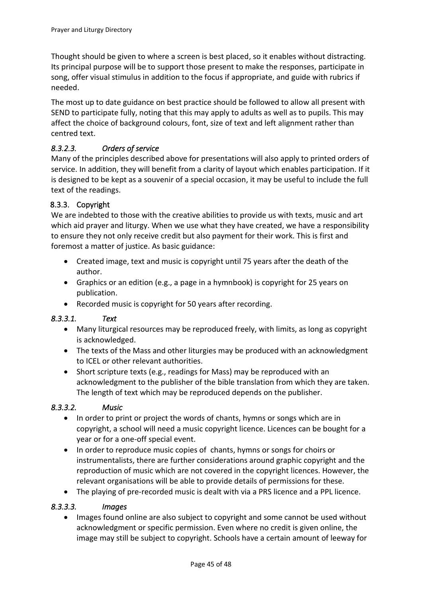Thought should be given to where a screen is best placed, so it enables without distracting. Its principal purpose will be to support those present to make the responses, participate in song, offer visual stimulus in addition to the focus if appropriate, and guide with rubrics if needed.

The most up to date guidance on best practice should be followed to allow all present with SEND to participate fully, noting that this may apply to adults as well as to pupils. This may affect the choice of background colours, font, size of text and left alignment rather than centred text.

### <span id="page-44-0"></span>*8.3.2.3. Orders of service*

Many of the principles described above for presentations will also apply to printed orders of service. In addition, they will benefit from a clarity of layout which enables participation. If it is designed to be kept as a souvenir of a special occasion, it may be useful to include the full text of the readings.

#### <span id="page-44-1"></span>8.3.3. Copyright

We are indebted to those with the creative abilities to provide us with texts, music and art which aid prayer and liturgy. When we use what they have created, we have a responsibility to ensure they not only receive credit but also payment for their work. This is first and foremost a matter of justice. As basic guidance:

- Created image, text and music is copyright until 75 years after the death of the author.
- Graphics or an edition (e.g., a page in a hymnbook) is copyright for 25 years on publication.
- Recorded music is copyright for 50 years after recording.

#### <span id="page-44-2"></span>*8.3.3.1. Text*

- Many liturgical resources may be reproduced freely, with limits, as long as copyright is acknowledged.
- The texts of the Mass and other liturgies may be produced with an acknowledgment to ICEL or other relevant authorities.
- Short scripture texts (e.g., readings for Mass) may be reproduced with an acknowledgment to the publisher of the bible translation from which they are taken. The length of text which may be reproduced depends on the publisher.

#### <span id="page-44-3"></span>*8.3.3.2. Music*

- In order to print or project the words of chants, hymns or songs which are in copyright, a school will need a music copyright licence. Licences can be bought for a year or for a one-off special event.
- In order to reproduce music copies of chants, hymns or songs for choirs or instrumentalists, there are further considerations around graphic copyright and the reproduction of music which are not covered in the copyright licences. However, the relevant organisations will be able to provide details of permissions for these.
- The playing of pre-recorded music is dealt with via a PRS licence and a PPL licence.

#### <span id="page-44-4"></span>*8.3.3.3. Images*

• Images found online are also subject to copyright and some cannot be used without acknowledgment or specific permission. Even where no credit is given online, the image may still be subject to copyright. Schools have a certain amount of leeway for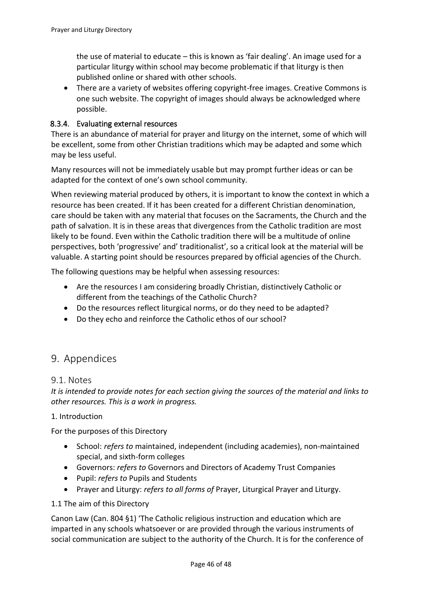the use of material to educate – this is known as 'fair dealing'. An image used for a particular liturgy within school may become problematic if that liturgy is then published online or shared with other schools.

• There are a variety of websites offering copyright-free images. Creative Commons is one such website. The copyright of images should always be acknowledged where possible.

#### <span id="page-45-0"></span>8.3.4. Evaluating external resources

There is an abundance of material for prayer and liturgy on the internet, some of which will be excellent, some from other Christian traditions which may be adapted and some which may be less useful.

Many resources will not be immediately usable but may prompt further ideas or can be adapted for the context of one's own school community.

When reviewing material produced by others, it is important to know the context in which a resource has been created. If it has been created for a different Christian denomination, care should be taken with any material that focuses on the Sacraments, the Church and the path of salvation. It is in these areas that divergences from the Catholic tradition are most likely to be found. Even within the Catholic tradition there will be a multitude of online perspectives, both 'progressive' and' traditionalist', so a critical look at the material will be valuable. A starting point should be resources prepared by official agencies of the Church.

The following questions may be helpful when assessing resources:

- Are the resources I am considering broadly Christian, distinctively Catholic or different from the teachings of the Catholic Church?
- Do the resources reflect liturgical norms, or do they need to be adapted?
- Do they echo and reinforce the Catholic ethos of our school?

### <span id="page-45-1"></span>9. Appendices

#### <span id="page-45-2"></span>9.1. Notes

*It is intended to provide notes for each section giving the sources of the material and links to other resources. This is a work in progress.*

#### 1. Introduction

For the purposes of this Directory

- School: *refers to* maintained, independent (including academies), non-maintained special, and sixth-form colleges
- Governors: *refers to* Governors and Directors of Academy Trust Companies
- Pupil: *refers to* Pupils and Students
- Prayer and Liturgy: *refers to all forms of* Prayer, Liturgical Prayer and Liturgy.

#### 1.1 The aim of this Directory

Canon Law (Can. 804 §1) 'The Catholic religious instruction and education which are imparted in any schools whatsoever or are provided through the various instruments of social communication are subject to the authority of the Church. It is for the conference of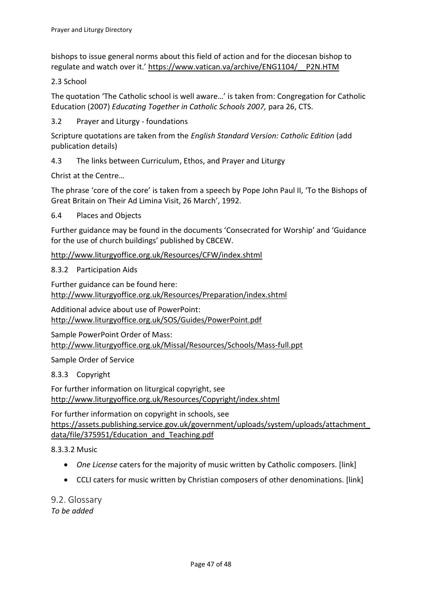bishops to issue general norms about this field of action and for the diocesan bishop to regulate and watch over it.' [https://www.vatican.va/archive/ENG1104/\\_\\_P2N.HTM](https://www.vatican.va/archive/ENG1104/__P2N.HTM)

2.3 School

The quotation 'The Catholic school is well aware…' is taken from: Congregation for Catholic Education (2007) *Educating Together in Catholic Schools 2007,* para 26, CTS.

[3.2](#page-8-0) [Prayer and Liturgy -](#page-8-0) foundations

Scripture quotations are taken from the *English Standard Version: Catholic Edition* (add publication details)

[4.3](#page-15-3) [The links between Curriculum, Ethos, and Prayer and Liturgy](#page-15-3)

Christ at the Centre…

The phrase 'core of the core' is taken from a speech by Pope John Paul II, 'To the Bishops of Great Britain on Their Ad Limina Visit, 26 March', 1992.

#### 6.4 Places and Objects

Further guidance may be found in the documents 'Consecrated for Worship' and 'Guidance for the use of church buildings' published by CBCEW.

<http://www.liturgyoffice.org.uk/Resources/CFW/index.shtml>

[8.3.2](#page-43-3) Participation Aids

Further guidance can be found here:

<http://www.liturgyoffice.org.uk/Resources/Preparation/index.shtml>

Additional advice about use of PowerPoint: <http://www.liturgyoffice.org.uk/SOS/Guides/PowerPoint.pdf>

Sample PowerPoint Order of Mass: <http://www.liturgyoffice.org.uk/Missal/Resources/Schools/Mass-full.ppt>

Sample Order of Service

[8.3.3](#page-44-1) Copyright

For further information on liturgical copyright, see <http://www.liturgyoffice.org.uk/Resources/Copyright/index.shtml>

For further information on copyright in schools, see [https://assets.publishing.service.gov.uk/government/uploads/system/uploads/attachment\\_](https://assets.publishing.service.gov.uk/government/uploads/system/uploads/attachment_data/file/375951/Education_and_Teaching.pdf) [data/file/375951/Education\\_and\\_Teaching.pdf](https://assets.publishing.service.gov.uk/government/uploads/system/uploads/attachment_data/file/375951/Education_and_Teaching.pdf)

[8.3.3.2](#page-44-3) [Music](#page-44-3)

- *One License* caters for the majority of music written by Catholic composers. [link]
- CCLI caters for music written by Christian composers of other denominations. [link]

<span id="page-46-0"></span>9.2. Glossary *To be added*